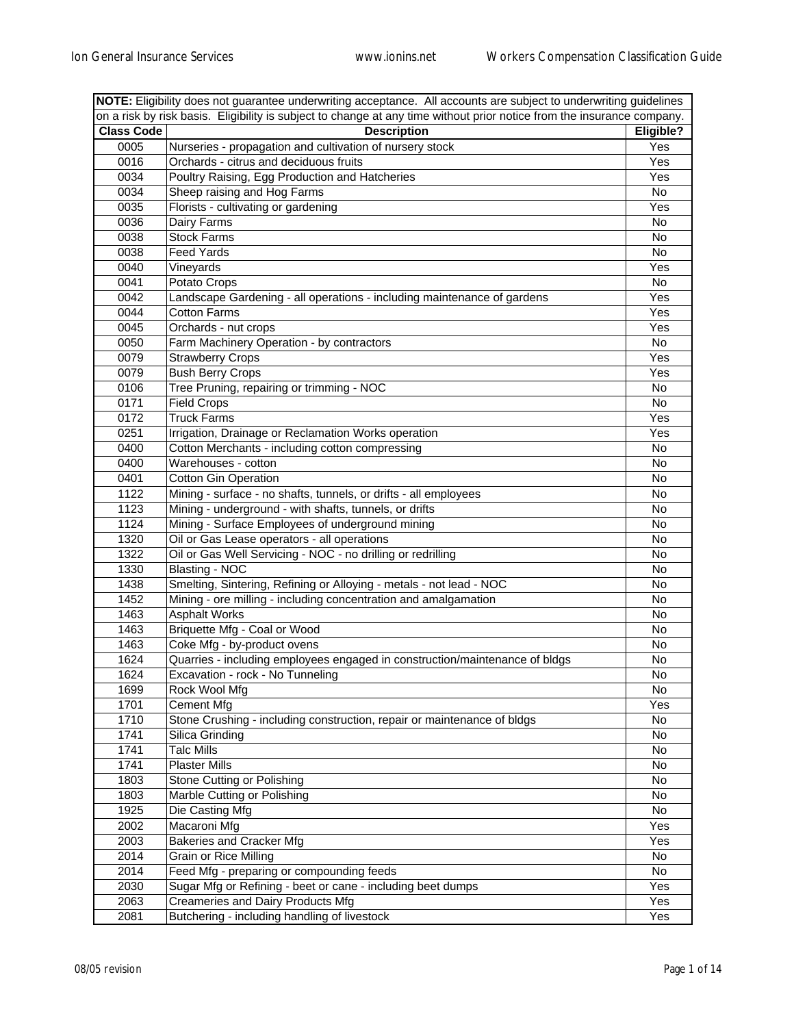| NOTE: Eligibility does not guarantee underwriting acceptance. All accounts are subject to underwriting guidelines |                                                                                                                        |           |
|-------------------------------------------------------------------------------------------------------------------|------------------------------------------------------------------------------------------------------------------------|-----------|
|                                                                                                                   | on a risk by risk basis. Eligibility is subject to change at any time without prior notice from the insurance company. |           |
| <b>Class Code</b>                                                                                                 | <b>Description</b>                                                                                                     | Eligible? |
| 0005                                                                                                              | Nurseries - propagation and cultivation of nursery stock                                                               | Yes       |
| 0016                                                                                                              | Orchards - citrus and deciduous fruits                                                                                 | Yes       |
| 0034                                                                                                              | Poultry Raising, Egg Production and Hatcheries                                                                         | Yes       |
| 0034                                                                                                              | Sheep raising and Hog Farms                                                                                            | No        |
| 0035                                                                                                              | Florists - cultivating or gardening                                                                                    | Yes       |
| 0036                                                                                                              | Dairy Farms                                                                                                            | No        |
| 0038                                                                                                              | <b>Stock Farms</b>                                                                                                     | No        |
| 0038                                                                                                              | <b>Feed Yards</b>                                                                                                      | No        |
| 0040                                                                                                              | Vineyards                                                                                                              | Yes       |
| 0041                                                                                                              | Potato Crops                                                                                                           | No        |
| 0042                                                                                                              | Landscape Gardening - all operations - including maintenance of gardens                                                | Yes       |
| 0044                                                                                                              | <b>Cotton Farms</b>                                                                                                    | Yes       |
| 0045                                                                                                              | Orchards - nut crops                                                                                                   | Yes       |
| 0050                                                                                                              | Farm Machinery Operation - by contractors                                                                              | No        |
| 0079                                                                                                              | <b>Strawberry Crops</b>                                                                                                | Yes       |
| 0079                                                                                                              | <b>Bush Berry Crops</b>                                                                                                | Yes       |
| 0106                                                                                                              | Tree Pruning, repairing or trimming - NOC                                                                              | No        |
| 0171                                                                                                              | <b>Field Crops</b>                                                                                                     | No        |
| 0172                                                                                                              | <b>Truck Farms</b>                                                                                                     | Yes       |
| 0251                                                                                                              | Irrigation, Drainage or Reclamation Works operation                                                                    | Yes       |
| 0400                                                                                                              | Cotton Merchants - including cotton compressing                                                                        | No        |
| 0400                                                                                                              | Warehouses - cotton                                                                                                    | No        |
| 0401                                                                                                              | Cotton Gin Operation                                                                                                   | No        |
| 1122                                                                                                              |                                                                                                                        | No        |
| 1123                                                                                                              | Mining - surface - no shafts, tunnels, or drifts - all employees                                                       |           |
| 1124                                                                                                              | Mining - underground - with shafts, tunnels, or drifts                                                                 | No        |
|                                                                                                                   | Mining - Surface Employees of underground mining                                                                       | No        |
| 1320                                                                                                              | Oil or Gas Lease operators - all operations                                                                            | No        |
| 1322                                                                                                              | Oil or Gas Well Servicing - NOC - no drilling or redrilling                                                            | No        |
| 1330                                                                                                              | <b>Blasting - NOC</b>                                                                                                  | No        |
| 1438                                                                                                              | Smelting, Sintering, Refining or Alloying - metals - not lead - NOC                                                    | No        |
| 1452                                                                                                              | Mining - ore milling - including concentration and amalgamation                                                        | No        |
| 1463                                                                                                              | <b>Asphalt Works</b>                                                                                                   | No        |
| 1463                                                                                                              | Briquette Mfg - Coal or Wood                                                                                           | No        |
| 1463                                                                                                              | Coke Mfg - by-product ovens                                                                                            | No        |
| 1624                                                                                                              | Quarries - including employees engaged in construction/maintenance of bldgs                                            | No        |
| 1624                                                                                                              | Excavation - rock - No Tunneling                                                                                       | No        |
| 1699                                                                                                              | Rock Wool Mfg                                                                                                          | No        |
| 1701                                                                                                              | Cement Mfg                                                                                                             | Yes       |
| 1710                                                                                                              | Stone Crushing - including construction, repair or maintenance of bldgs                                                | No        |
| 1741                                                                                                              | Silica Grinding                                                                                                        | No        |
| 1741                                                                                                              | <b>Talc Mills</b>                                                                                                      | No        |
| 1741                                                                                                              | <b>Plaster Mills</b>                                                                                                   | No        |
| 1803                                                                                                              | Stone Cutting or Polishing                                                                                             | No        |
| 1803                                                                                                              | Marble Cutting or Polishing                                                                                            | No        |
| 1925                                                                                                              | Die Casting Mfg                                                                                                        | No        |
| 2002                                                                                                              | Macaroni Mfg                                                                                                           | Yes       |
| 2003                                                                                                              | <b>Bakeries and Cracker Mfg</b>                                                                                        | Yes       |
| 2014                                                                                                              | Grain or Rice Milling                                                                                                  | No        |
| 2014                                                                                                              | Feed Mfg - preparing or compounding feeds                                                                              | No        |
| 2030                                                                                                              | Sugar Mfg or Refining - beet or cane - including beet dumps                                                            | Yes       |
| 2063                                                                                                              | Creameries and Dairy Products Mfg                                                                                      | Yes       |
| 2081                                                                                                              | Butchering - including handling of livestock                                                                           | Yes       |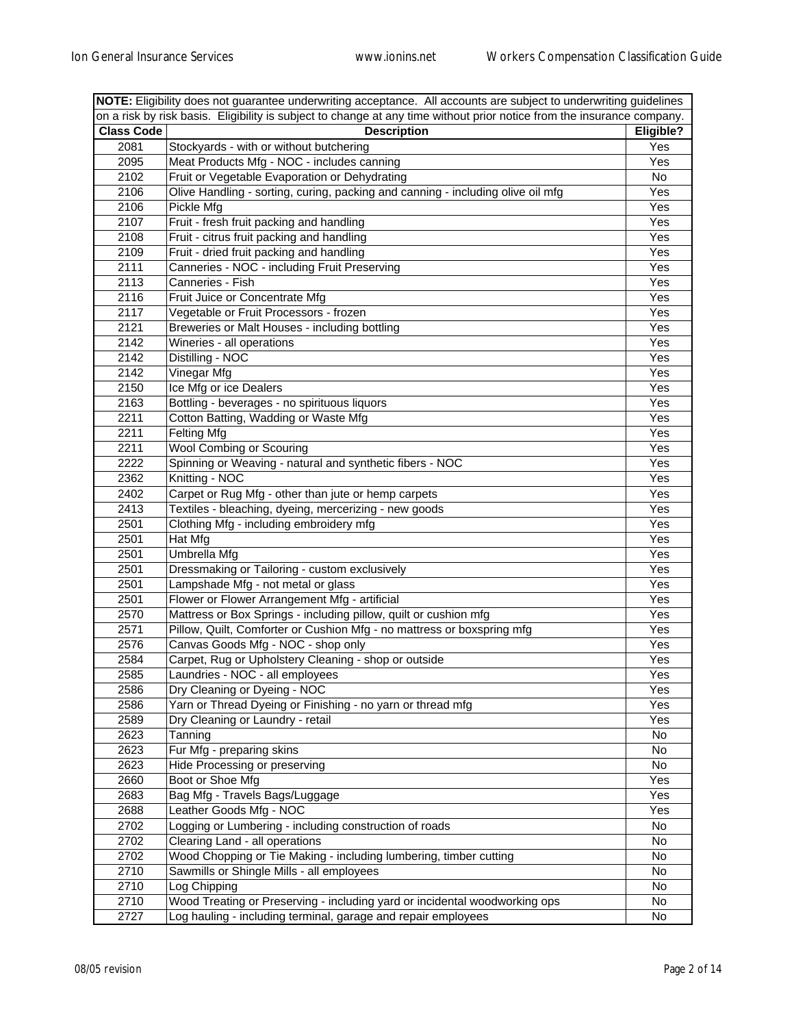| NOTE: Eligibility does not guarantee underwriting acceptance. All accounts are subject to underwriting guidelines |                                                                                                                        |           |
|-------------------------------------------------------------------------------------------------------------------|------------------------------------------------------------------------------------------------------------------------|-----------|
|                                                                                                                   | on a risk by risk basis. Eligibility is subject to change at any time without prior notice from the insurance company. |           |
| <b>Class Code</b>                                                                                                 | <b>Description</b>                                                                                                     | Eligible? |
| 2081                                                                                                              | Stockyards - with or without butchering                                                                                | Yes       |
| 2095                                                                                                              | Meat Products Mfg - NOC - includes canning                                                                             | Yes       |
| 2102                                                                                                              | Fruit or Vegetable Evaporation or Dehydrating                                                                          | No        |
| 2106                                                                                                              | Olive Handling - sorting, curing, packing and canning - including olive oil mfg                                        | Yes       |
| 2106                                                                                                              | Pickle Mfg                                                                                                             | Yes       |
| 2107                                                                                                              | Fruit - fresh fruit packing and handling                                                                               | Yes       |
| 2108                                                                                                              | Fruit - citrus fruit packing and handling                                                                              | Yes       |
| 2109                                                                                                              | Fruit - dried fruit packing and handling                                                                               | Yes       |
| 2111                                                                                                              | Canneries - NOC - including Fruit Preserving                                                                           | Yes       |
| 2113                                                                                                              | Canneries - Fish                                                                                                       | Yes       |
| 2116                                                                                                              | Fruit Juice or Concentrate Mfg                                                                                         | Yes       |
| 2117                                                                                                              | Vegetable or Fruit Processors - frozen                                                                                 | Yes       |
| 2121                                                                                                              | Breweries or Malt Houses - including bottling                                                                          | Yes       |
| 2142                                                                                                              | Wineries - all operations                                                                                              | Yes       |
| 2142                                                                                                              | Distilling - NOC                                                                                                       | Yes       |
| 2142                                                                                                              | Vinegar Mfg                                                                                                            | Yes       |
| 2150                                                                                                              | Ice Mfg or ice Dealers                                                                                                 | Yes       |
| 2163                                                                                                              | Bottling - beverages - no spirituous liquors                                                                           | Yes       |
| 2211                                                                                                              | Cotton Batting, Wadding or Waste Mfg                                                                                   | Yes       |
| 2211                                                                                                              | Felting Mfg                                                                                                            | Yes       |
| 2211                                                                                                              | <b>Wool Combing or Scouring</b>                                                                                        | Yes       |
| 2222                                                                                                              | Spinning or Weaving - natural and synthetic fibers - NOC                                                               | Yes       |
| 2362                                                                                                              | Knitting - NOC                                                                                                         | Yes       |
| 2402                                                                                                              | Carpet or Rug Mfg - other than jute or hemp carpets                                                                    | Yes       |
| 2413                                                                                                              | Textiles - bleaching, dyeing, mercerizing - new goods                                                                  | Yes       |
| 2501                                                                                                              | Clothing Mfg - including embroidery mfg                                                                                | Yes       |
| 2501                                                                                                              | Hat Mfg                                                                                                                | Yes       |
| 2501                                                                                                              | Umbrella Mfg                                                                                                           | Yes       |
| 2501                                                                                                              | Dressmaking or Tailoring - custom exclusively                                                                          | Yes       |
| 2501                                                                                                              | Lampshade Mfg - not metal or glass                                                                                     | Yes       |
| 2501                                                                                                              | Flower or Flower Arrangement Mfg - artificial                                                                          | Yes       |
| 2570                                                                                                              | Mattress or Box Springs - including pillow, quilt or cushion mfg                                                       | Yes       |
| 2571                                                                                                              | Pillow, Quilt, Comforter or Cushion Mfg - no mattress or boxspring mfg                                                 | Yes       |
| 2576                                                                                                              | Canvas Goods Mfg - NOC - shop only                                                                                     | Yes       |
| 2584                                                                                                              |                                                                                                                        | Yes       |
| 2585                                                                                                              | Carpet, Rug or Upholstery Cleaning - shop or outside<br>Laundries - NOC - all employees                                |           |
|                                                                                                                   |                                                                                                                        | Yes       |
| 2586                                                                                                              | Dry Cleaning or Dyeing - NOC                                                                                           | Yes       |
| 2586                                                                                                              | Yarn or Thread Dyeing or Finishing - no yarn or thread mfg                                                             | Yes       |
| 2589                                                                                                              | Dry Cleaning or Laundry - retail                                                                                       | Yes       |
| 2623                                                                                                              | Tanning                                                                                                                | No        |
| 2623                                                                                                              | Fur Mfg - preparing skins                                                                                              | No        |
| 2623                                                                                                              | Hide Processing or preserving                                                                                          | No        |
| 2660                                                                                                              | Boot or Shoe Mfg                                                                                                       | Yes       |
| 2683                                                                                                              | Bag Mfg - Travels Bags/Luggage                                                                                         | Yes       |
| 2688                                                                                                              | Leather Goods Mfg - NOC                                                                                                | Yes       |
| 2702                                                                                                              | Logging or Lumbering - including construction of roads                                                                 | No        |
| 2702                                                                                                              | Clearing Land - all operations                                                                                         | No        |
| 2702                                                                                                              | Wood Chopping or Tie Making - including lumbering, timber cutting                                                      | No        |
| 2710                                                                                                              | Sawmills or Shingle Mills - all employees                                                                              | No        |
| 2710                                                                                                              | Log Chipping                                                                                                           | No        |
| 2710                                                                                                              | Wood Treating or Preserving - including yard or incidental woodworking ops                                             | No        |
| 2727                                                                                                              | Log hauling - including terminal, garage and repair employees                                                          | No        |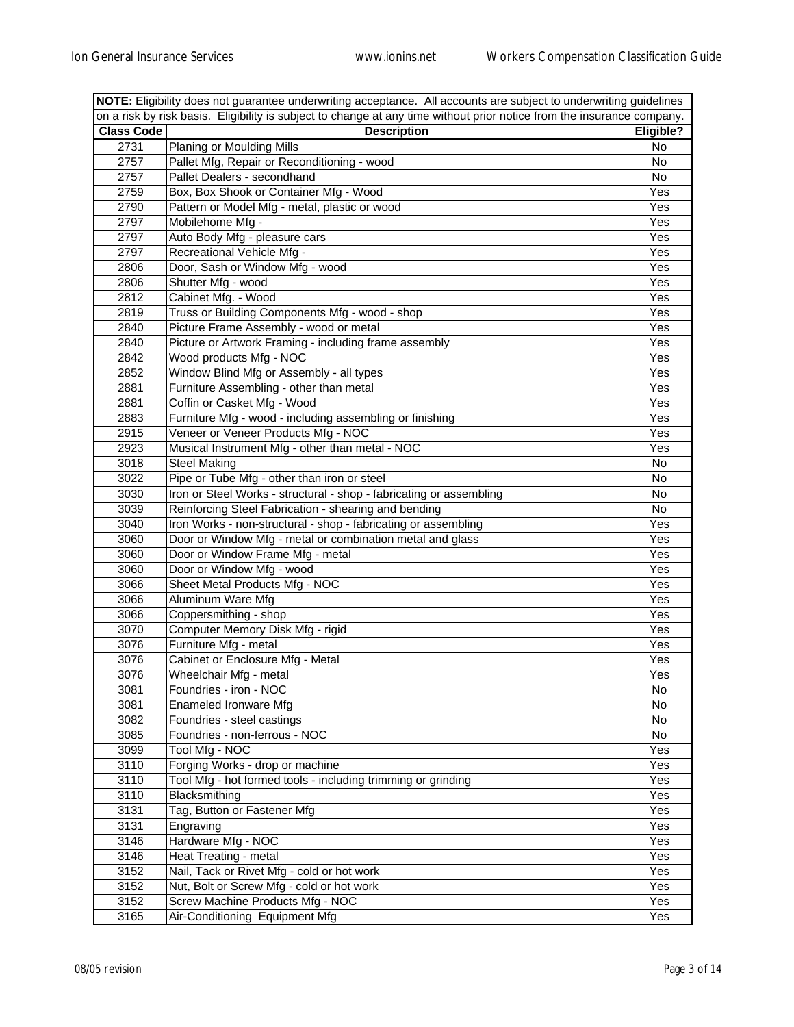|                   | NOTE: Eligibility does not guarantee underwriting acceptance. All accounts are subject to underwriting guidelines      |           |  |
|-------------------|------------------------------------------------------------------------------------------------------------------------|-----------|--|
|                   | on a risk by risk basis. Eligibility is subject to change at any time without prior notice from the insurance company. |           |  |
| <b>Class Code</b> | <b>Description</b>                                                                                                     | Eligible? |  |
| 2731              | Planing or Moulding Mills                                                                                              | No        |  |
| 2757              | Pallet Mfg, Repair or Reconditioning - wood                                                                            | No        |  |
| 2757              | Pallet Dealers - secondhand                                                                                            | No        |  |
| 2759              | Box, Box Shook or Container Mfg - Wood                                                                                 | Yes       |  |
| 2790              | Pattern or Model Mfg - metal, plastic or wood                                                                          | Yes       |  |
| 2797              | Mobilehome Mfg -                                                                                                       | Yes       |  |
| 2797              | Auto Body Mfg - pleasure cars                                                                                          | Yes       |  |
| 2797              | Recreational Vehicle Mfg -                                                                                             | Yes       |  |
| 2806              | Door, Sash or Window Mfg - wood                                                                                        | Yes       |  |
| 2806              | Shutter Mfg - wood                                                                                                     | Yes       |  |
| 2812              | Cabinet Mfg. - Wood                                                                                                    | Yes       |  |
| 2819              | Truss or Building Components Mfg - wood - shop                                                                         | Yes       |  |
| 2840              | Picture Frame Assembly - wood or metal                                                                                 | Yes       |  |
| 2840              | Picture or Artwork Framing - including frame assembly                                                                  | Yes       |  |
| 2842              | Wood products Mfg - NOC                                                                                                | Yes       |  |
| 2852              | Window Blind Mfg or Assembly - all types                                                                               | Yes       |  |
| 2881              | Furniture Assembling - other than metal                                                                                | Yes       |  |
| 2881              | Coffin or Casket Mfg - Wood                                                                                            | Yes       |  |
| 2883              | Furniture Mfg - wood - including assembling or finishing                                                               | Yes       |  |
| 2915              | Veneer or Veneer Products Mfg - NOC                                                                                    | Yes       |  |
| 2923              | Musical Instrument Mfg - other than metal - NOC                                                                        | Yes       |  |
| 3018              | <b>Steel Making</b>                                                                                                    | No        |  |
| 3022              | Pipe or Tube Mfg - other than iron or steel                                                                            | No        |  |
| 3030              | Iron or Steel Works - structural - shop - fabricating or assembling                                                    | No        |  |
| 3039              | Reinforcing Steel Fabrication - shearing and bending                                                                   | No        |  |
| 3040              | Iron Works - non-structural - shop - fabricating or assembling                                                         | Yes       |  |
| 3060              | Door or Window Mfg - metal or combination metal and glass                                                              | Yes       |  |
| 3060              | Door or Window Frame Mfg - metal                                                                                       | Yes       |  |
| 3060              | Door or Window Mfg - wood                                                                                              | Yes       |  |
| 3066              | Sheet Metal Products Mfg - NOC                                                                                         | Yes       |  |
| 3066              | Aluminum Ware Mfg                                                                                                      | Yes       |  |
| 3066              | Coppersmithing - shop                                                                                                  | Yes       |  |
| 3070              | Computer Memory Disk Mfg - rigid                                                                                       | Yes       |  |
| 3076              | Furniture Mfg - metal                                                                                                  | Yes       |  |
| 3076              | Cabinet or Enclosure Mfg - Metal                                                                                       | Yes       |  |
| 3076              | Wheelchair Mfg - metal                                                                                                 | Yes       |  |
| 3081              | Foundries - iron - NOC                                                                                                 | No        |  |
| 3081              | Enameled Ironware Mfg                                                                                                  | No        |  |
| 3082              | Foundries - steel castings                                                                                             | No        |  |
| 3085              | Foundries - non-ferrous - NOC                                                                                          | No        |  |
| 3099              | Tool Mfg - NOC                                                                                                         | Yes       |  |
| 3110              | Forging Works - drop or machine                                                                                        | Yes       |  |
| 3110              | Tool Mfg - hot formed tools - including trimming or grinding                                                           | Yes       |  |
| 3110              | Blacksmithing                                                                                                          | Yes       |  |
| 3131              | Tag, Button or Fastener Mfg                                                                                            | Yes       |  |
| 3131              | Engraving                                                                                                              | Yes       |  |
| 3146              | Hardware Mfg - NOC                                                                                                     | Yes       |  |
| 3146              | Heat Treating - metal                                                                                                  | Yes       |  |
| 3152              | Nail, Tack or Rivet Mfg - cold or hot work                                                                             | Yes       |  |
| 3152              | Nut, Bolt or Screw Mfg - cold or hot work                                                                              | Yes       |  |
| 3152              | Screw Machine Products Mfg - NOC                                                                                       | Yes       |  |
| 3165              | Air-Conditioning Equipment Mfg                                                                                         | Yes       |  |
|                   |                                                                                                                        |           |  |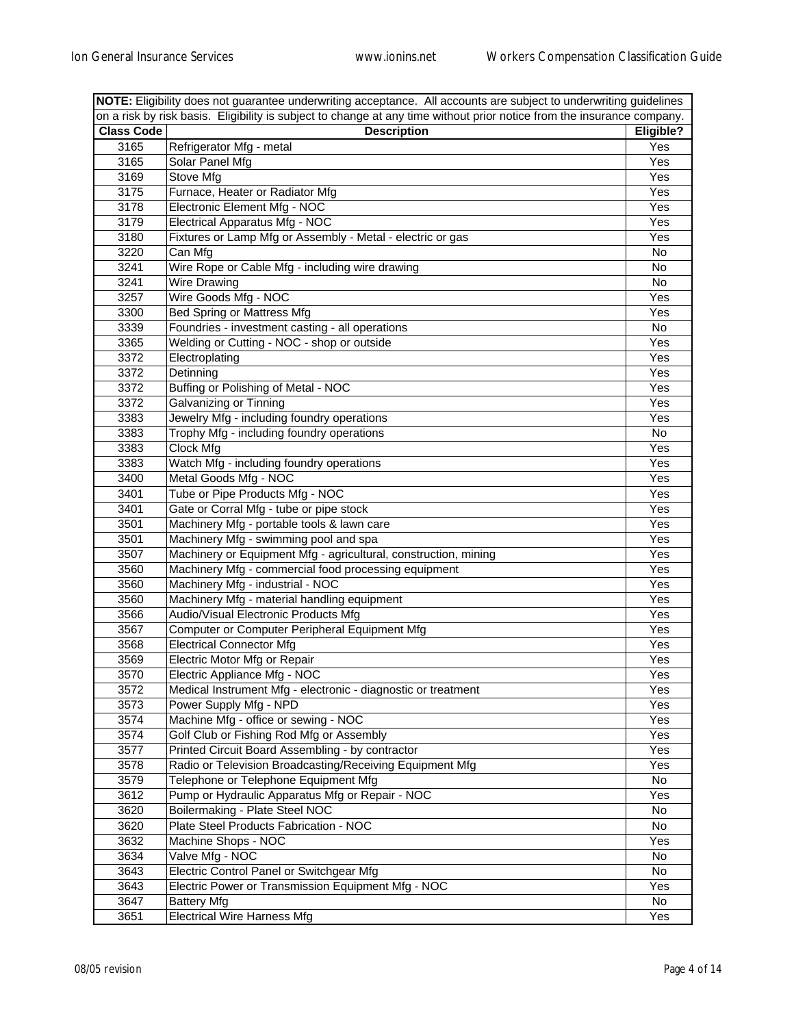| NOTE: Eligibility does not guarantee underwriting acceptance. All accounts are subject to underwriting guidelines |                                                                                                                        |           |
|-------------------------------------------------------------------------------------------------------------------|------------------------------------------------------------------------------------------------------------------------|-----------|
|                                                                                                                   | on a risk by risk basis. Eligibility is subject to change at any time without prior notice from the insurance company. |           |
| <b>Class Code</b>                                                                                                 | <b>Description</b>                                                                                                     | Eligible? |
| 3165                                                                                                              | Refrigerator Mfg - metal                                                                                               | Yes       |
| 3165                                                                                                              | Solar Panel Mfg                                                                                                        | Yes       |
| 3169                                                                                                              | Stove Mfg                                                                                                              | Yes       |
| 3175                                                                                                              | Furnace, Heater or Radiator Mfg                                                                                        | Yes       |
| 3178                                                                                                              | Electronic Element Mfg - NOC                                                                                           | Yes       |
| 3179                                                                                                              | Electrical Apparatus Mfg - NOC                                                                                         | Yes       |
| 3180                                                                                                              | Fixtures or Lamp Mfg or Assembly - Metal - electric or gas                                                             | Yes       |
| 3220                                                                                                              | Can Mfg                                                                                                                | No        |
| 3241                                                                                                              | Wire Rope or Cable Mfg - including wire drawing                                                                        | No        |
| 3241                                                                                                              | Wire Drawing                                                                                                           | No        |
| 3257                                                                                                              | Wire Goods Mfg - NOC                                                                                                   | Yes       |
| 3300                                                                                                              | Bed Spring or Mattress Mfg                                                                                             | Yes       |
| 3339                                                                                                              | Foundries - investment casting - all operations                                                                        | No        |
| 3365                                                                                                              | Welding or Cutting - NOC - shop or outside                                                                             | Yes       |
| 3372                                                                                                              | Electroplating                                                                                                         | Yes       |
| 3372                                                                                                              | Detinning                                                                                                              | Yes       |
| 3372                                                                                                              | Buffing or Polishing of Metal - NOC                                                                                    | Yes       |
| 3372                                                                                                              | Galvanizing or Tinning                                                                                                 | Yes       |
| 3383                                                                                                              | Jewelry Mfg - including foundry operations                                                                             | Yes       |
| 3383                                                                                                              | Trophy Mfg - including foundry operations                                                                              | No        |
| 3383                                                                                                              | Clock Mfg                                                                                                              | Yes       |
| 3383                                                                                                              | Watch Mfg - including foundry operations                                                                               | Yes       |
| 3400                                                                                                              | Metal Goods Mfg - NOC                                                                                                  | Yes       |
| 3401                                                                                                              | Tube or Pipe Products Mfg - NOC                                                                                        | Yes       |
| 3401                                                                                                              | Gate or Corral Mfg - tube or pipe stock                                                                                | Yes       |
| 3501                                                                                                              |                                                                                                                        | Yes       |
| 3501                                                                                                              | Machinery Mfg - portable tools & lawn care<br>Machinery Mfg - swimming pool and spa                                    | Yes       |
| 3507                                                                                                              |                                                                                                                        |           |
|                                                                                                                   | Machinery or Equipment Mfg - agricultural, construction, mining                                                        | Yes       |
| 3560                                                                                                              | Machinery Mfg - commercial food processing equipment                                                                   | Yes       |
| 3560                                                                                                              | Machinery Mfg - industrial - NOC                                                                                       | Yes       |
| 3560                                                                                                              | Machinery Mfg - material handling equipment                                                                            | Yes       |
| 3566                                                                                                              | Audio/Visual Electronic Products Mfg                                                                                   | Yes       |
| 3567                                                                                                              | Computer or Computer Peripheral Equipment Mfg                                                                          | Yes       |
| 3568                                                                                                              | <b>Electrical Connector Mfg</b>                                                                                        | Yes       |
| 3569                                                                                                              | Electric Motor Mfg or Repair                                                                                           | Yes       |
| 3570                                                                                                              | Electric Appliance Mfg - NOC                                                                                           | Yes       |
| 3572                                                                                                              | Medical Instrument Mfg - electronic - diagnostic or treatment                                                          | Yes       |
| 3573                                                                                                              | Power Supply Mfg - NPD                                                                                                 | Yes       |
| 3574                                                                                                              | Machine Mfg - office or sewing - NOC                                                                                   | Yes       |
| 3574                                                                                                              | Golf Club or Fishing Rod Mfg or Assembly                                                                               | Yes       |
| 3577                                                                                                              | Printed Circuit Board Assembling - by contractor                                                                       | Yes       |
| 3578                                                                                                              | Radio or Television Broadcasting/Receiving Equipment Mfg                                                               | Yes       |
| 3579                                                                                                              | Telephone or Telephone Equipment Mfg                                                                                   | No        |
| 3612                                                                                                              | Pump or Hydraulic Apparatus Mfg or Repair - NOC                                                                        | Yes       |
| 3620                                                                                                              | Boilermaking - Plate Steel NOC                                                                                         | No        |
| 3620                                                                                                              | Plate Steel Products Fabrication - NOC                                                                                 | No        |
| 3632                                                                                                              | Machine Shops - NOC                                                                                                    | Yes       |
| 3634                                                                                                              | Valve Mfg - NOC                                                                                                        | No        |
| 3643                                                                                                              | Electric Control Panel or Switchgear Mfg                                                                               | No        |
| 3643                                                                                                              | Electric Power or Transmission Equipment Mfg - NOC                                                                     | Yes       |
| 3647                                                                                                              | <b>Battery Mfg</b>                                                                                                     | No.       |
| 3651                                                                                                              | <b>Electrical Wire Harness Mfg</b>                                                                                     | Yes       |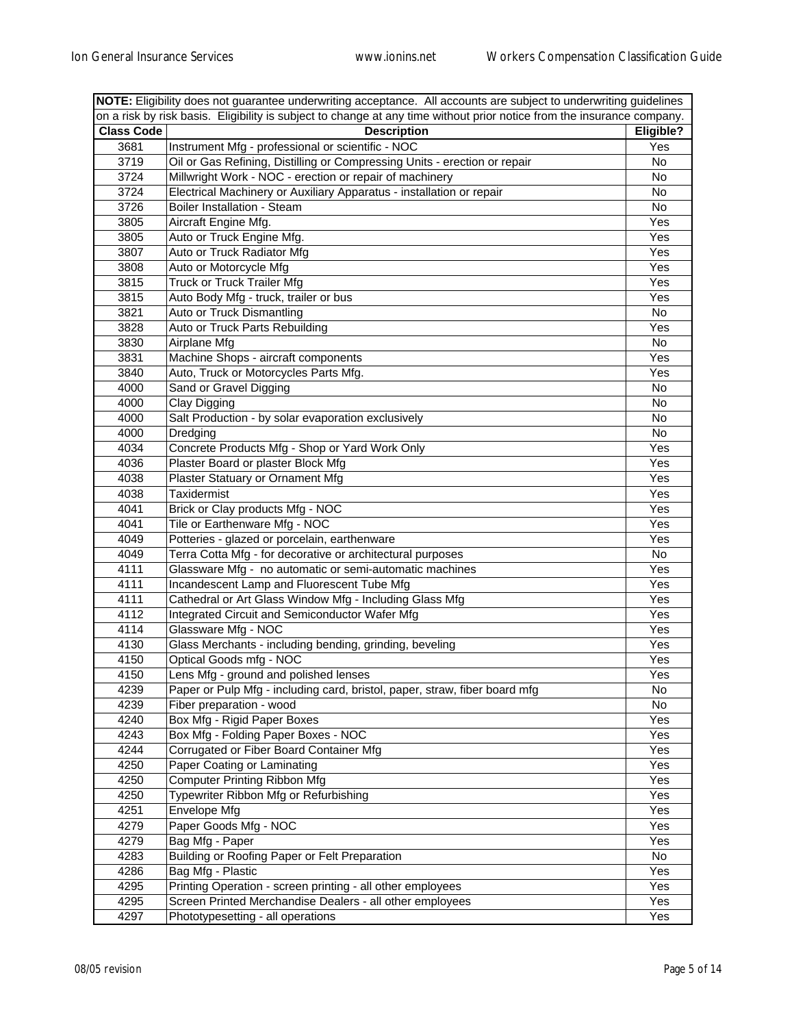| on a risk by risk basis. Eligibility is subject to change at any time without prior notice from the insurance company.<br><b>Class Code</b><br><b>Description</b><br>Eligible?<br>Instrument Mfg - professional or scientific - NOC<br>3681<br>Yes<br>3719<br>Oil or Gas Refining, Distilling or Compressing Units - erection or repair<br>No<br>3724<br>Millwright Work - NOC - erection or repair of machinery<br>No<br>3724<br>Electrical Machinery or Auxiliary Apparatus - installation or repair<br>No<br>3726<br>Boiler Installation - Steam<br>No<br>3805<br>Aircraft Engine Mfg.<br>Yes<br>3805<br>Auto or Truck Engine Mfg.<br>Yes<br>3807<br>Auto or Truck Radiator Mfg<br>Yes<br>3808<br>Auto or Motorcycle Mfg<br>Yes<br><b>Truck or Truck Trailer Mfg</b><br>Yes<br>3815<br>3815<br>Yes<br>Auto Body Mfg - truck, trailer or bus<br>Auto or Truck Dismantling<br>3821<br>No<br>Auto or Truck Parts Rebuilding<br>3828<br>Yes<br>3830<br>Airplane Mfg<br>No<br>3831<br>Machine Shops - aircraft components<br>Yes<br>Auto, Truck or Motorcycles Parts Mfg.<br>3840<br>Yes<br>Sand or Gravel Digging<br>4000<br>No<br>4000<br>No<br>Clay Digging<br>4000<br>Salt Production - by solar evaporation exclusively<br>No<br>4000<br>No<br>Dredging<br>4034<br>Concrete Products Mfg - Shop or Yard Work Only<br>Yes<br>4036<br>Plaster Board or plaster Block Mfg<br>Yes<br>4038<br>Yes<br>Plaster Statuary or Ornament Mfg<br>4038<br>Taxidermist<br>Yes<br>Brick or Clay products Mfg - NOC<br>4041<br>Yes<br>4041<br>Tile or Earthenware Mfg - NOC<br>Yes<br>Potteries - glazed or porcelain, earthenware<br>4049<br>Yes<br>4049<br>Terra Cotta Mfg - for decorative or architectural purposes<br>No<br>4111<br>Glassware Mfg - no automatic or semi-automatic machines<br>Yes<br>4111<br>Incandescent Lamp and Fluorescent Tube Mfg<br>Yes<br>4111<br>Yes<br>Cathedral or Art Glass Window Mfg - Including Glass Mfg<br>4112<br>Integrated Circuit and Semiconductor Wafer Mfg<br>Yes<br>Glassware Mfg - NOC<br>4114<br>Yes<br>4130<br>Glass Merchants - including bending, grinding, beveling<br>Yes<br>4150<br>Optical Goods mfg - NOC<br>Yes<br>4150<br>Lens Mfg - ground and polished lenses<br>Yes<br>Paper or Pulp Mfg - including card, bristol, paper, straw, fiber board mfg<br>4239<br>No<br>Fiber preparation - wood<br>4239<br>No<br>Box Mfg - Rigid Paper Boxes<br>4240<br>Yes<br>4243<br>Box Mfg - Folding Paper Boxes - NOC<br>Yes<br>4244<br>Corrugated or Fiber Board Container Mfg<br>Yes<br>4250<br>Paper Coating or Laminating<br>Yes<br><b>Computer Printing Ribbon Mfg</b><br>4250<br>Yes<br>Typewriter Ribbon Mfg or Refurbishing<br>4250<br>Yes<br>4251<br>Envelope Mfg<br>Yes<br>Paper Goods Mfg - NOC<br>4279<br>Yes<br>4279<br>Bag Mfg - Paper<br>Yes<br>Building or Roofing Paper or Felt Preparation<br>4283<br>No<br>4286<br>Bag Mfg - Plastic<br>Yes<br>Printing Operation - screen printing - all other employees<br>4295<br>Yes<br>4295<br>Screen Printed Merchandise Dealers - all other employees<br>Yes | NOTE: Eligibility does not guarantee underwriting acceptance. All accounts are subject to underwriting guidelines |                                   |     |
|---------------------------------------------------------------------------------------------------------------------------------------------------------------------------------------------------------------------------------------------------------------------------------------------------------------------------------------------------------------------------------------------------------------------------------------------------------------------------------------------------------------------------------------------------------------------------------------------------------------------------------------------------------------------------------------------------------------------------------------------------------------------------------------------------------------------------------------------------------------------------------------------------------------------------------------------------------------------------------------------------------------------------------------------------------------------------------------------------------------------------------------------------------------------------------------------------------------------------------------------------------------------------------------------------------------------------------------------------------------------------------------------------------------------------------------------------------------------------------------------------------------------------------------------------------------------------------------------------------------------------------------------------------------------------------------------------------------------------------------------------------------------------------------------------------------------------------------------------------------------------------------------------------------------------------------------------------------------------------------------------------------------------------------------------------------------------------------------------------------------------------------------------------------------------------------------------------------------------------------------------------------------------------------------------------------------------------------------------------------------------------------------------------------------------------------------------------------------------------------------------------------------------------------------------------------------------------------------------------------------------------------------------------------------------------------------------------------------------------------------------------------------------------------------------------------------------------------------------------------------------------------------------------------------------------------------------------------------------------------------------------------------------------------------------------|-------------------------------------------------------------------------------------------------------------------|-----------------------------------|-----|
|                                                                                                                                                                                                                                                                                                                                                                                                                                                                                                                                                                                                                                                                                                                                                                                                                                                                                                                                                                                                                                                                                                                                                                                                                                                                                                                                                                                                                                                                                                                                                                                                                                                                                                                                                                                                                                                                                                                                                                                                                                                                                                                                                                                                                                                                                                                                                                                                                                                                                                                                                                                                                                                                                                                                                                                                                                                                                                                                                                                                                                                         |                                                                                                                   |                                   |     |
|                                                                                                                                                                                                                                                                                                                                                                                                                                                                                                                                                                                                                                                                                                                                                                                                                                                                                                                                                                                                                                                                                                                                                                                                                                                                                                                                                                                                                                                                                                                                                                                                                                                                                                                                                                                                                                                                                                                                                                                                                                                                                                                                                                                                                                                                                                                                                                                                                                                                                                                                                                                                                                                                                                                                                                                                                                                                                                                                                                                                                                                         |                                                                                                                   |                                   |     |
|                                                                                                                                                                                                                                                                                                                                                                                                                                                                                                                                                                                                                                                                                                                                                                                                                                                                                                                                                                                                                                                                                                                                                                                                                                                                                                                                                                                                                                                                                                                                                                                                                                                                                                                                                                                                                                                                                                                                                                                                                                                                                                                                                                                                                                                                                                                                                                                                                                                                                                                                                                                                                                                                                                                                                                                                                                                                                                                                                                                                                                                         |                                                                                                                   |                                   |     |
|                                                                                                                                                                                                                                                                                                                                                                                                                                                                                                                                                                                                                                                                                                                                                                                                                                                                                                                                                                                                                                                                                                                                                                                                                                                                                                                                                                                                                                                                                                                                                                                                                                                                                                                                                                                                                                                                                                                                                                                                                                                                                                                                                                                                                                                                                                                                                                                                                                                                                                                                                                                                                                                                                                                                                                                                                                                                                                                                                                                                                                                         |                                                                                                                   |                                   |     |
|                                                                                                                                                                                                                                                                                                                                                                                                                                                                                                                                                                                                                                                                                                                                                                                                                                                                                                                                                                                                                                                                                                                                                                                                                                                                                                                                                                                                                                                                                                                                                                                                                                                                                                                                                                                                                                                                                                                                                                                                                                                                                                                                                                                                                                                                                                                                                                                                                                                                                                                                                                                                                                                                                                                                                                                                                                                                                                                                                                                                                                                         |                                                                                                                   |                                   |     |
|                                                                                                                                                                                                                                                                                                                                                                                                                                                                                                                                                                                                                                                                                                                                                                                                                                                                                                                                                                                                                                                                                                                                                                                                                                                                                                                                                                                                                                                                                                                                                                                                                                                                                                                                                                                                                                                                                                                                                                                                                                                                                                                                                                                                                                                                                                                                                                                                                                                                                                                                                                                                                                                                                                                                                                                                                                                                                                                                                                                                                                                         |                                                                                                                   |                                   |     |
|                                                                                                                                                                                                                                                                                                                                                                                                                                                                                                                                                                                                                                                                                                                                                                                                                                                                                                                                                                                                                                                                                                                                                                                                                                                                                                                                                                                                                                                                                                                                                                                                                                                                                                                                                                                                                                                                                                                                                                                                                                                                                                                                                                                                                                                                                                                                                                                                                                                                                                                                                                                                                                                                                                                                                                                                                                                                                                                                                                                                                                                         |                                                                                                                   |                                   |     |
|                                                                                                                                                                                                                                                                                                                                                                                                                                                                                                                                                                                                                                                                                                                                                                                                                                                                                                                                                                                                                                                                                                                                                                                                                                                                                                                                                                                                                                                                                                                                                                                                                                                                                                                                                                                                                                                                                                                                                                                                                                                                                                                                                                                                                                                                                                                                                                                                                                                                                                                                                                                                                                                                                                                                                                                                                                                                                                                                                                                                                                                         |                                                                                                                   |                                   |     |
|                                                                                                                                                                                                                                                                                                                                                                                                                                                                                                                                                                                                                                                                                                                                                                                                                                                                                                                                                                                                                                                                                                                                                                                                                                                                                                                                                                                                                                                                                                                                                                                                                                                                                                                                                                                                                                                                                                                                                                                                                                                                                                                                                                                                                                                                                                                                                                                                                                                                                                                                                                                                                                                                                                                                                                                                                                                                                                                                                                                                                                                         |                                                                                                                   |                                   |     |
|                                                                                                                                                                                                                                                                                                                                                                                                                                                                                                                                                                                                                                                                                                                                                                                                                                                                                                                                                                                                                                                                                                                                                                                                                                                                                                                                                                                                                                                                                                                                                                                                                                                                                                                                                                                                                                                                                                                                                                                                                                                                                                                                                                                                                                                                                                                                                                                                                                                                                                                                                                                                                                                                                                                                                                                                                                                                                                                                                                                                                                                         |                                                                                                                   |                                   |     |
|                                                                                                                                                                                                                                                                                                                                                                                                                                                                                                                                                                                                                                                                                                                                                                                                                                                                                                                                                                                                                                                                                                                                                                                                                                                                                                                                                                                                                                                                                                                                                                                                                                                                                                                                                                                                                                                                                                                                                                                                                                                                                                                                                                                                                                                                                                                                                                                                                                                                                                                                                                                                                                                                                                                                                                                                                                                                                                                                                                                                                                                         |                                                                                                                   |                                   |     |
|                                                                                                                                                                                                                                                                                                                                                                                                                                                                                                                                                                                                                                                                                                                                                                                                                                                                                                                                                                                                                                                                                                                                                                                                                                                                                                                                                                                                                                                                                                                                                                                                                                                                                                                                                                                                                                                                                                                                                                                                                                                                                                                                                                                                                                                                                                                                                                                                                                                                                                                                                                                                                                                                                                                                                                                                                                                                                                                                                                                                                                                         |                                                                                                                   |                                   |     |
|                                                                                                                                                                                                                                                                                                                                                                                                                                                                                                                                                                                                                                                                                                                                                                                                                                                                                                                                                                                                                                                                                                                                                                                                                                                                                                                                                                                                                                                                                                                                                                                                                                                                                                                                                                                                                                                                                                                                                                                                                                                                                                                                                                                                                                                                                                                                                                                                                                                                                                                                                                                                                                                                                                                                                                                                                                                                                                                                                                                                                                                         |                                                                                                                   |                                   |     |
|                                                                                                                                                                                                                                                                                                                                                                                                                                                                                                                                                                                                                                                                                                                                                                                                                                                                                                                                                                                                                                                                                                                                                                                                                                                                                                                                                                                                                                                                                                                                                                                                                                                                                                                                                                                                                                                                                                                                                                                                                                                                                                                                                                                                                                                                                                                                                                                                                                                                                                                                                                                                                                                                                                                                                                                                                                                                                                                                                                                                                                                         |                                                                                                                   |                                   |     |
|                                                                                                                                                                                                                                                                                                                                                                                                                                                                                                                                                                                                                                                                                                                                                                                                                                                                                                                                                                                                                                                                                                                                                                                                                                                                                                                                                                                                                                                                                                                                                                                                                                                                                                                                                                                                                                                                                                                                                                                                                                                                                                                                                                                                                                                                                                                                                                                                                                                                                                                                                                                                                                                                                                                                                                                                                                                                                                                                                                                                                                                         |                                                                                                                   |                                   |     |
|                                                                                                                                                                                                                                                                                                                                                                                                                                                                                                                                                                                                                                                                                                                                                                                                                                                                                                                                                                                                                                                                                                                                                                                                                                                                                                                                                                                                                                                                                                                                                                                                                                                                                                                                                                                                                                                                                                                                                                                                                                                                                                                                                                                                                                                                                                                                                                                                                                                                                                                                                                                                                                                                                                                                                                                                                                                                                                                                                                                                                                                         |                                                                                                                   |                                   |     |
|                                                                                                                                                                                                                                                                                                                                                                                                                                                                                                                                                                                                                                                                                                                                                                                                                                                                                                                                                                                                                                                                                                                                                                                                                                                                                                                                                                                                                                                                                                                                                                                                                                                                                                                                                                                                                                                                                                                                                                                                                                                                                                                                                                                                                                                                                                                                                                                                                                                                                                                                                                                                                                                                                                                                                                                                                                                                                                                                                                                                                                                         |                                                                                                                   |                                   |     |
|                                                                                                                                                                                                                                                                                                                                                                                                                                                                                                                                                                                                                                                                                                                                                                                                                                                                                                                                                                                                                                                                                                                                                                                                                                                                                                                                                                                                                                                                                                                                                                                                                                                                                                                                                                                                                                                                                                                                                                                                                                                                                                                                                                                                                                                                                                                                                                                                                                                                                                                                                                                                                                                                                                                                                                                                                                                                                                                                                                                                                                                         |                                                                                                                   |                                   |     |
|                                                                                                                                                                                                                                                                                                                                                                                                                                                                                                                                                                                                                                                                                                                                                                                                                                                                                                                                                                                                                                                                                                                                                                                                                                                                                                                                                                                                                                                                                                                                                                                                                                                                                                                                                                                                                                                                                                                                                                                                                                                                                                                                                                                                                                                                                                                                                                                                                                                                                                                                                                                                                                                                                                                                                                                                                                                                                                                                                                                                                                                         |                                                                                                                   |                                   |     |
|                                                                                                                                                                                                                                                                                                                                                                                                                                                                                                                                                                                                                                                                                                                                                                                                                                                                                                                                                                                                                                                                                                                                                                                                                                                                                                                                                                                                                                                                                                                                                                                                                                                                                                                                                                                                                                                                                                                                                                                                                                                                                                                                                                                                                                                                                                                                                                                                                                                                                                                                                                                                                                                                                                                                                                                                                                                                                                                                                                                                                                                         |                                                                                                                   |                                   |     |
|                                                                                                                                                                                                                                                                                                                                                                                                                                                                                                                                                                                                                                                                                                                                                                                                                                                                                                                                                                                                                                                                                                                                                                                                                                                                                                                                                                                                                                                                                                                                                                                                                                                                                                                                                                                                                                                                                                                                                                                                                                                                                                                                                                                                                                                                                                                                                                                                                                                                                                                                                                                                                                                                                                                                                                                                                                                                                                                                                                                                                                                         |                                                                                                                   |                                   |     |
|                                                                                                                                                                                                                                                                                                                                                                                                                                                                                                                                                                                                                                                                                                                                                                                                                                                                                                                                                                                                                                                                                                                                                                                                                                                                                                                                                                                                                                                                                                                                                                                                                                                                                                                                                                                                                                                                                                                                                                                                                                                                                                                                                                                                                                                                                                                                                                                                                                                                                                                                                                                                                                                                                                                                                                                                                                                                                                                                                                                                                                                         |                                                                                                                   |                                   |     |
|                                                                                                                                                                                                                                                                                                                                                                                                                                                                                                                                                                                                                                                                                                                                                                                                                                                                                                                                                                                                                                                                                                                                                                                                                                                                                                                                                                                                                                                                                                                                                                                                                                                                                                                                                                                                                                                                                                                                                                                                                                                                                                                                                                                                                                                                                                                                                                                                                                                                                                                                                                                                                                                                                                                                                                                                                                                                                                                                                                                                                                                         |                                                                                                                   |                                   |     |
|                                                                                                                                                                                                                                                                                                                                                                                                                                                                                                                                                                                                                                                                                                                                                                                                                                                                                                                                                                                                                                                                                                                                                                                                                                                                                                                                                                                                                                                                                                                                                                                                                                                                                                                                                                                                                                                                                                                                                                                                                                                                                                                                                                                                                                                                                                                                                                                                                                                                                                                                                                                                                                                                                                                                                                                                                                                                                                                                                                                                                                                         |                                                                                                                   |                                   |     |
|                                                                                                                                                                                                                                                                                                                                                                                                                                                                                                                                                                                                                                                                                                                                                                                                                                                                                                                                                                                                                                                                                                                                                                                                                                                                                                                                                                                                                                                                                                                                                                                                                                                                                                                                                                                                                                                                                                                                                                                                                                                                                                                                                                                                                                                                                                                                                                                                                                                                                                                                                                                                                                                                                                                                                                                                                                                                                                                                                                                                                                                         |                                                                                                                   |                                   |     |
|                                                                                                                                                                                                                                                                                                                                                                                                                                                                                                                                                                                                                                                                                                                                                                                                                                                                                                                                                                                                                                                                                                                                                                                                                                                                                                                                                                                                                                                                                                                                                                                                                                                                                                                                                                                                                                                                                                                                                                                                                                                                                                                                                                                                                                                                                                                                                                                                                                                                                                                                                                                                                                                                                                                                                                                                                                                                                                                                                                                                                                                         |                                                                                                                   |                                   |     |
|                                                                                                                                                                                                                                                                                                                                                                                                                                                                                                                                                                                                                                                                                                                                                                                                                                                                                                                                                                                                                                                                                                                                                                                                                                                                                                                                                                                                                                                                                                                                                                                                                                                                                                                                                                                                                                                                                                                                                                                                                                                                                                                                                                                                                                                                                                                                                                                                                                                                                                                                                                                                                                                                                                                                                                                                                                                                                                                                                                                                                                                         |                                                                                                                   |                                   |     |
|                                                                                                                                                                                                                                                                                                                                                                                                                                                                                                                                                                                                                                                                                                                                                                                                                                                                                                                                                                                                                                                                                                                                                                                                                                                                                                                                                                                                                                                                                                                                                                                                                                                                                                                                                                                                                                                                                                                                                                                                                                                                                                                                                                                                                                                                                                                                                                                                                                                                                                                                                                                                                                                                                                                                                                                                                                                                                                                                                                                                                                                         |                                                                                                                   |                                   |     |
|                                                                                                                                                                                                                                                                                                                                                                                                                                                                                                                                                                                                                                                                                                                                                                                                                                                                                                                                                                                                                                                                                                                                                                                                                                                                                                                                                                                                                                                                                                                                                                                                                                                                                                                                                                                                                                                                                                                                                                                                                                                                                                                                                                                                                                                                                                                                                                                                                                                                                                                                                                                                                                                                                                                                                                                                                                                                                                                                                                                                                                                         |                                                                                                                   |                                   |     |
|                                                                                                                                                                                                                                                                                                                                                                                                                                                                                                                                                                                                                                                                                                                                                                                                                                                                                                                                                                                                                                                                                                                                                                                                                                                                                                                                                                                                                                                                                                                                                                                                                                                                                                                                                                                                                                                                                                                                                                                                                                                                                                                                                                                                                                                                                                                                                                                                                                                                                                                                                                                                                                                                                                                                                                                                                                                                                                                                                                                                                                                         |                                                                                                                   |                                   |     |
|                                                                                                                                                                                                                                                                                                                                                                                                                                                                                                                                                                                                                                                                                                                                                                                                                                                                                                                                                                                                                                                                                                                                                                                                                                                                                                                                                                                                                                                                                                                                                                                                                                                                                                                                                                                                                                                                                                                                                                                                                                                                                                                                                                                                                                                                                                                                                                                                                                                                                                                                                                                                                                                                                                                                                                                                                                                                                                                                                                                                                                                         |                                                                                                                   |                                   |     |
|                                                                                                                                                                                                                                                                                                                                                                                                                                                                                                                                                                                                                                                                                                                                                                                                                                                                                                                                                                                                                                                                                                                                                                                                                                                                                                                                                                                                                                                                                                                                                                                                                                                                                                                                                                                                                                                                                                                                                                                                                                                                                                                                                                                                                                                                                                                                                                                                                                                                                                                                                                                                                                                                                                                                                                                                                                                                                                                                                                                                                                                         |                                                                                                                   |                                   |     |
|                                                                                                                                                                                                                                                                                                                                                                                                                                                                                                                                                                                                                                                                                                                                                                                                                                                                                                                                                                                                                                                                                                                                                                                                                                                                                                                                                                                                                                                                                                                                                                                                                                                                                                                                                                                                                                                                                                                                                                                                                                                                                                                                                                                                                                                                                                                                                                                                                                                                                                                                                                                                                                                                                                                                                                                                                                                                                                                                                                                                                                                         |                                                                                                                   |                                   |     |
|                                                                                                                                                                                                                                                                                                                                                                                                                                                                                                                                                                                                                                                                                                                                                                                                                                                                                                                                                                                                                                                                                                                                                                                                                                                                                                                                                                                                                                                                                                                                                                                                                                                                                                                                                                                                                                                                                                                                                                                                                                                                                                                                                                                                                                                                                                                                                                                                                                                                                                                                                                                                                                                                                                                                                                                                                                                                                                                                                                                                                                                         |                                                                                                                   |                                   |     |
|                                                                                                                                                                                                                                                                                                                                                                                                                                                                                                                                                                                                                                                                                                                                                                                                                                                                                                                                                                                                                                                                                                                                                                                                                                                                                                                                                                                                                                                                                                                                                                                                                                                                                                                                                                                                                                                                                                                                                                                                                                                                                                                                                                                                                                                                                                                                                                                                                                                                                                                                                                                                                                                                                                                                                                                                                                                                                                                                                                                                                                                         |                                                                                                                   |                                   |     |
|                                                                                                                                                                                                                                                                                                                                                                                                                                                                                                                                                                                                                                                                                                                                                                                                                                                                                                                                                                                                                                                                                                                                                                                                                                                                                                                                                                                                                                                                                                                                                                                                                                                                                                                                                                                                                                                                                                                                                                                                                                                                                                                                                                                                                                                                                                                                                                                                                                                                                                                                                                                                                                                                                                                                                                                                                                                                                                                                                                                                                                                         |                                                                                                                   |                                   |     |
|                                                                                                                                                                                                                                                                                                                                                                                                                                                                                                                                                                                                                                                                                                                                                                                                                                                                                                                                                                                                                                                                                                                                                                                                                                                                                                                                                                                                                                                                                                                                                                                                                                                                                                                                                                                                                                                                                                                                                                                                                                                                                                                                                                                                                                                                                                                                                                                                                                                                                                                                                                                                                                                                                                                                                                                                                                                                                                                                                                                                                                                         |                                                                                                                   |                                   |     |
|                                                                                                                                                                                                                                                                                                                                                                                                                                                                                                                                                                                                                                                                                                                                                                                                                                                                                                                                                                                                                                                                                                                                                                                                                                                                                                                                                                                                                                                                                                                                                                                                                                                                                                                                                                                                                                                                                                                                                                                                                                                                                                                                                                                                                                                                                                                                                                                                                                                                                                                                                                                                                                                                                                                                                                                                                                                                                                                                                                                                                                                         |                                                                                                                   |                                   |     |
|                                                                                                                                                                                                                                                                                                                                                                                                                                                                                                                                                                                                                                                                                                                                                                                                                                                                                                                                                                                                                                                                                                                                                                                                                                                                                                                                                                                                                                                                                                                                                                                                                                                                                                                                                                                                                                                                                                                                                                                                                                                                                                                                                                                                                                                                                                                                                                                                                                                                                                                                                                                                                                                                                                                                                                                                                                                                                                                                                                                                                                                         |                                                                                                                   |                                   |     |
|                                                                                                                                                                                                                                                                                                                                                                                                                                                                                                                                                                                                                                                                                                                                                                                                                                                                                                                                                                                                                                                                                                                                                                                                                                                                                                                                                                                                                                                                                                                                                                                                                                                                                                                                                                                                                                                                                                                                                                                                                                                                                                                                                                                                                                                                                                                                                                                                                                                                                                                                                                                                                                                                                                                                                                                                                                                                                                                                                                                                                                                         |                                                                                                                   |                                   |     |
|                                                                                                                                                                                                                                                                                                                                                                                                                                                                                                                                                                                                                                                                                                                                                                                                                                                                                                                                                                                                                                                                                                                                                                                                                                                                                                                                                                                                                                                                                                                                                                                                                                                                                                                                                                                                                                                                                                                                                                                                                                                                                                                                                                                                                                                                                                                                                                                                                                                                                                                                                                                                                                                                                                                                                                                                                                                                                                                                                                                                                                                         |                                                                                                                   |                                   |     |
|                                                                                                                                                                                                                                                                                                                                                                                                                                                                                                                                                                                                                                                                                                                                                                                                                                                                                                                                                                                                                                                                                                                                                                                                                                                                                                                                                                                                                                                                                                                                                                                                                                                                                                                                                                                                                                                                                                                                                                                                                                                                                                                                                                                                                                                                                                                                                                                                                                                                                                                                                                                                                                                                                                                                                                                                                                                                                                                                                                                                                                                         |                                                                                                                   |                                   |     |
|                                                                                                                                                                                                                                                                                                                                                                                                                                                                                                                                                                                                                                                                                                                                                                                                                                                                                                                                                                                                                                                                                                                                                                                                                                                                                                                                                                                                                                                                                                                                                                                                                                                                                                                                                                                                                                                                                                                                                                                                                                                                                                                                                                                                                                                                                                                                                                                                                                                                                                                                                                                                                                                                                                                                                                                                                                                                                                                                                                                                                                                         |                                                                                                                   |                                   |     |
|                                                                                                                                                                                                                                                                                                                                                                                                                                                                                                                                                                                                                                                                                                                                                                                                                                                                                                                                                                                                                                                                                                                                                                                                                                                                                                                                                                                                                                                                                                                                                                                                                                                                                                                                                                                                                                                                                                                                                                                                                                                                                                                                                                                                                                                                                                                                                                                                                                                                                                                                                                                                                                                                                                                                                                                                                                                                                                                                                                                                                                                         |                                                                                                                   |                                   |     |
|                                                                                                                                                                                                                                                                                                                                                                                                                                                                                                                                                                                                                                                                                                                                                                                                                                                                                                                                                                                                                                                                                                                                                                                                                                                                                                                                                                                                                                                                                                                                                                                                                                                                                                                                                                                                                                                                                                                                                                                                                                                                                                                                                                                                                                                                                                                                                                                                                                                                                                                                                                                                                                                                                                                                                                                                                                                                                                                                                                                                                                                         |                                                                                                                   |                                   |     |
|                                                                                                                                                                                                                                                                                                                                                                                                                                                                                                                                                                                                                                                                                                                                                                                                                                                                                                                                                                                                                                                                                                                                                                                                                                                                                                                                                                                                                                                                                                                                                                                                                                                                                                                                                                                                                                                                                                                                                                                                                                                                                                                                                                                                                                                                                                                                                                                                                                                                                                                                                                                                                                                                                                                                                                                                                                                                                                                                                                                                                                                         |                                                                                                                   |                                   |     |
|                                                                                                                                                                                                                                                                                                                                                                                                                                                                                                                                                                                                                                                                                                                                                                                                                                                                                                                                                                                                                                                                                                                                                                                                                                                                                                                                                                                                                                                                                                                                                                                                                                                                                                                                                                                                                                                                                                                                                                                                                                                                                                                                                                                                                                                                                                                                                                                                                                                                                                                                                                                                                                                                                                                                                                                                                                                                                                                                                                                                                                                         |                                                                                                                   |                                   |     |
|                                                                                                                                                                                                                                                                                                                                                                                                                                                                                                                                                                                                                                                                                                                                                                                                                                                                                                                                                                                                                                                                                                                                                                                                                                                                                                                                                                                                                                                                                                                                                                                                                                                                                                                                                                                                                                                                                                                                                                                                                                                                                                                                                                                                                                                                                                                                                                                                                                                                                                                                                                                                                                                                                                                                                                                                                                                                                                                                                                                                                                                         |                                                                                                                   |                                   |     |
|                                                                                                                                                                                                                                                                                                                                                                                                                                                                                                                                                                                                                                                                                                                                                                                                                                                                                                                                                                                                                                                                                                                                                                                                                                                                                                                                                                                                                                                                                                                                                                                                                                                                                                                                                                                                                                                                                                                                                                                                                                                                                                                                                                                                                                                                                                                                                                                                                                                                                                                                                                                                                                                                                                                                                                                                                                                                                                                                                                                                                                                         |                                                                                                                   |                                   |     |
|                                                                                                                                                                                                                                                                                                                                                                                                                                                                                                                                                                                                                                                                                                                                                                                                                                                                                                                                                                                                                                                                                                                                                                                                                                                                                                                                                                                                                                                                                                                                                                                                                                                                                                                                                                                                                                                                                                                                                                                                                                                                                                                                                                                                                                                                                                                                                                                                                                                                                                                                                                                                                                                                                                                                                                                                                                                                                                                                                                                                                                                         |                                                                                                                   |                                   |     |
|                                                                                                                                                                                                                                                                                                                                                                                                                                                                                                                                                                                                                                                                                                                                                                                                                                                                                                                                                                                                                                                                                                                                                                                                                                                                                                                                                                                                                                                                                                                                                                                                                                                                                                                                                                                                                                                                                                                                                                                                                                                                                                                                                                                                                                                                                                                                                                                                                                                                                                                                                                                                                                                                                                                                                                                                                                                                                                                                                                                                                                                         |                                                                                                                   |                                   |     |
|                                                                                                                                                                                                                                                                                                                                                                                                                                                                                                                                                                                                                                                                                                                                                                                                                                                                                                                                                                                                                                                                                                                                                                                                                                                                                                                                                                                                                                                                                                                                                                                                                                                                                                                                                                                                                                                                                                                                                                                                                                                                                                                                                                                                                                                                                                                                                                                                                                                                                                                                                                                                                                                                                                                                                                                                                                                                                                                                                                                                                                                         |                                                                                                                   |                                   |     |
|                                                                                                                                                                                                                                                                                                                                                                                                                                                                                                                                                                                                                                                                                                                                                                                                                                                                                                                                                                                                                                                                                                                                                                                                                                                                                                                                                                                                                                                                                                                                                                                                                                                                                                                                                                                                                                                                                                                                                                                                                                                                                                                                                                                                                                                                                                                                                                                                                                                                                                                                                                                                                                                                                                                                                                                                                                                                                                                                                                                                                                                         |                                                                                                                   |                                   |     |
|                                                                                                                                                                                                                                                                                                                                                                                                                                                                                                                                                                                                                                                                                                                                                                                                                                                                                                                                                                                                                                                                                                                                                                                                                                                                                                                                                                                                                                                                                                                                                                                                                                                                                                                                                                                                                                                                                                                                                                                                                                                                                                                                                                                                                                                                                                                                                                                                                                                                                                                                                                                                                                                                                                                                                                                                                                                                                                                                                                                                                                                         | 4297                                                                                                              | Phototypesetting - all operations | Yes |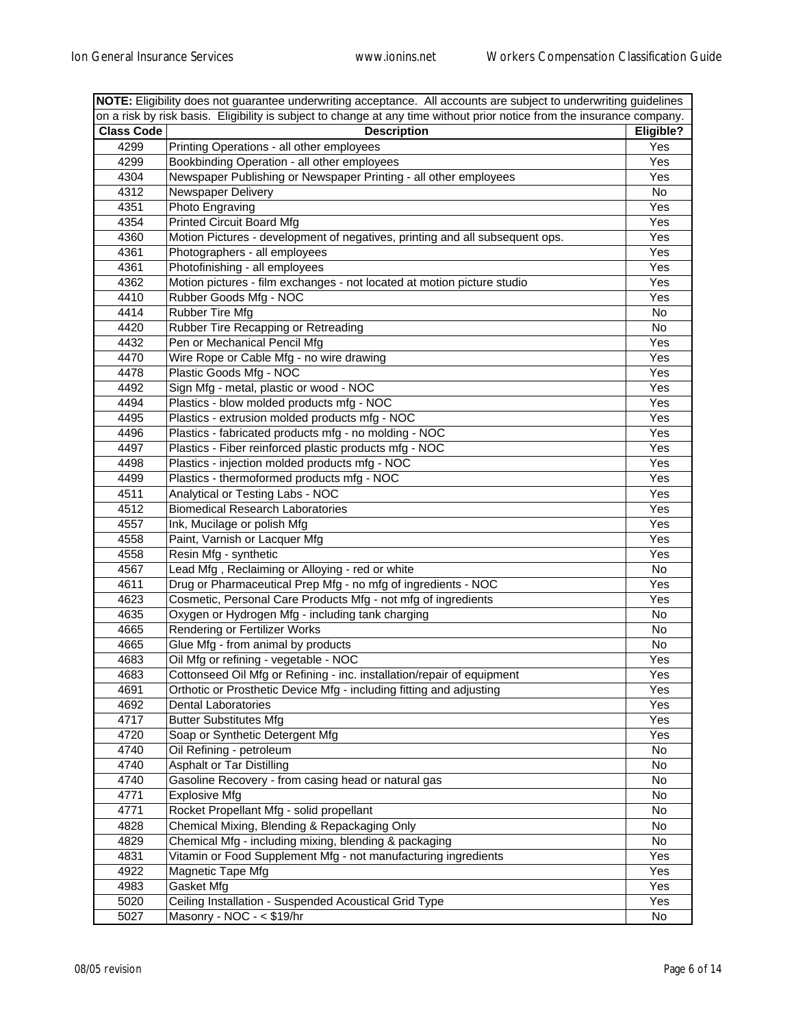| NOTE: Eligibility does not guarantee underwriting acceptance. All accounts are subject to underwriting guidelines |                                                                                                                        |           |
|-------------------------------------------------------------------------------------------------------------------|------------------------------------------------------------------------------------------------------------------------|-----------|
|                                                                                                                   | on a risk by risk basis. Eligibility is subject to change at any time without prior notice from the insurance company. |           |
| <b>Class Code</b>                                                                                                 | <b>Description</b>                                                                                                     | Eligible? |
| 4299                                                                                                              | Printing Operations - all other employees                                                                              | Yes       |
| 4299                                                                                                              | Bookbinding Operation - all other employees                                                                            | Yes       |
| 4304                                                                                                              | Newspaper Publishing or Newspaper Printing - all other employees                                                       | Yes       |
| 4312                                                                                                              | Newspaper Delivery                                                                                                     | No        |
| 4351                                                                                                              | Photo Engraving                                                                                                        | Yes       |
| 4354                                                                                                              | <b>Printed Circuit Board Mfg</b>                                                                                       | Yes       |
| 4360                                                                                                              | Motion Pictures - development of negatives, printing and all subsequent ops.                                           | Yes       |
| 4361                                                                                                              | Photographers - all employees                                                                                          | Yes       |
| 4361                                                                                                              | Photofinishing - all employees                                                                                         | Yes       |
| 4362                                                                                                              | Motion pictures - film exchanges - not located at motion picture studio                                                | Yes       |
| 4410                                                                                                              | Rubber Goods Mfg - NOC                                                                                                 | Yes       |
| 4414                                                                                                              | <b>Rubber Tire Mfg</b>                                                                                                 | No        |
| 4420                                                                                                              | Rubber Tire Recapping or Retreading                                                                                    | No        |
| 4432                                                                                                              | Pen or Mechanical Pencil Mfg                                                                                           | Yes       |
| 4470                                                                                                              | Wire Rope or Cable Mfg - no wire drawing                                                                               | Yes       |
| 4478                                                                                                              | Plastic Goods Mfg - NOC                                                                                                | Yes       |
| 4492                                                                                                              | Sign Mfg - metal, plastic or wood - NOC                                                                                | Yes       |
| 4494                                                                                                              | Plastics - blow molded products mfg - NOC                                                                              | Yes       |
| 4495                                                                                                              | Plastics - extrusion molded products mfg - NOC                                                                         | Yes       |
| 4496                                                                                                              | Plastics - fabricated products mfg - no molding - NOC                                                                  | Yes       |
| 4497                                                                                                              | Plastics - Fiber reinforced plastic products mfg - NOC                                                                 | Yes       |
| 4498                                                                                                              | Plastics - injection molded products mfg - NOC                                                                         | Yes       |
| 4499                                                                                                              | Plastics - thermoformed products mfg - NOC                                                                             | Yes       |
| 4511                                                                                                              | Analytical or Testing Labs - NOC                                                                                       | Yes       |
| 4512                                                                                                              | <b>Biomedical Research Laboratories</b>                                                                                | Yes       |
| 4557                                                                                                              | Ink, Mucilage or polish Mfg                                                                                            | Yes       |
| 4558                                                                                                              | Paint, Varnish or Lacquer Mfg                                                                                          | Yes       |
| 4558                                                                                                              | Resin Mfg - synthetic                                                                                                  | Yes       |
| 4567                                                                                                              | Lead Mfg, Reclaiming or Alloying - red or white                                                                        | No        |
| 4611                                                                                                              | Drug or Pharmaceutical Prep Mfg - no mfg of ingredients - NOC                                                          | Yes       |
| 4623                                                                                                              | Cosmetic, Personal Care Products Mfg - not mfg of ingredients                                                          | Yes       |
| 4635                                                                                                              | Oxygen or Hydrogen Mfg - including tank charging                                                                       | No        |
| 4665                                                                                                              | Rendering or Fertilizer Works                                                                                          | No        |
| 4665                                                                                                              | Glue Mfg - from animal by products                                                                                     | No        |
| 4683                                                                                                              | Oil Mfg or refining - vegetable - NOC                                                                                  | Yes       |
| 4683                                                                                                              | Cottonseed Oil Mfg or Refining - inc. installation/repair of equipment                                                 | Yes       |
| 4691                                                                                                              | Orthotic or Prosthetic Device Mfg - including fitting and adjusting                                                    | Yes       |
| 4692                                                                                                              | <b>Dental Laboratories</b>                                                                                             | Yes       |
| 4717                                                                                                              | <b>Butter Substitutes Mfg</b>                                                                                          | Yes       |
| 4720                                                                                                              | Soap or Synthetic Detergent Mfg                                                                                        | Yes       |
| 4740                                                                                                              | Oil Refining - petroleum                                                                                               | No        |
| 4740                                                                                                              | Asphalt or Tar Distilling                                                                                              | No        |
| 4740                                                                                                              | Gasoline Recovery - from casing head or natural gas                                                                    | No        |
| 4771                                                                                                              | <b>Explosive Mfg</b>                                                                                                   | No        |
| 4771                                                                                                              | Rocket Propellant Mfg - solid propellant                                                                               | No        |
| 4828                                                                                                              | Chemical Mixing, Blending & Repackaging Only                                                                           | No.       |
| 4829                                                                                                              | Chemical Mfg - including mixing, blending & packaging                                                                  | No        |
| 4831                                                                                                              | Vitamin or Food Supplement Mfg - not manufacturing ingredients                                                         | Yes       |
| 4922                                                                                                              | Magnetic Tape Mfg                                                                                                      | Yes       |
| 4983                                                                                                              | Gasket Mfg                                                                                                             | Yes       |
| 5020                                                                                                              | Ceiling Installation - Suspended Acoustical Grid Type                                                                  | Yes       |
| 5027                                                                                                              | Masonry - NOC - < \$19/hr                                                                                              | No        |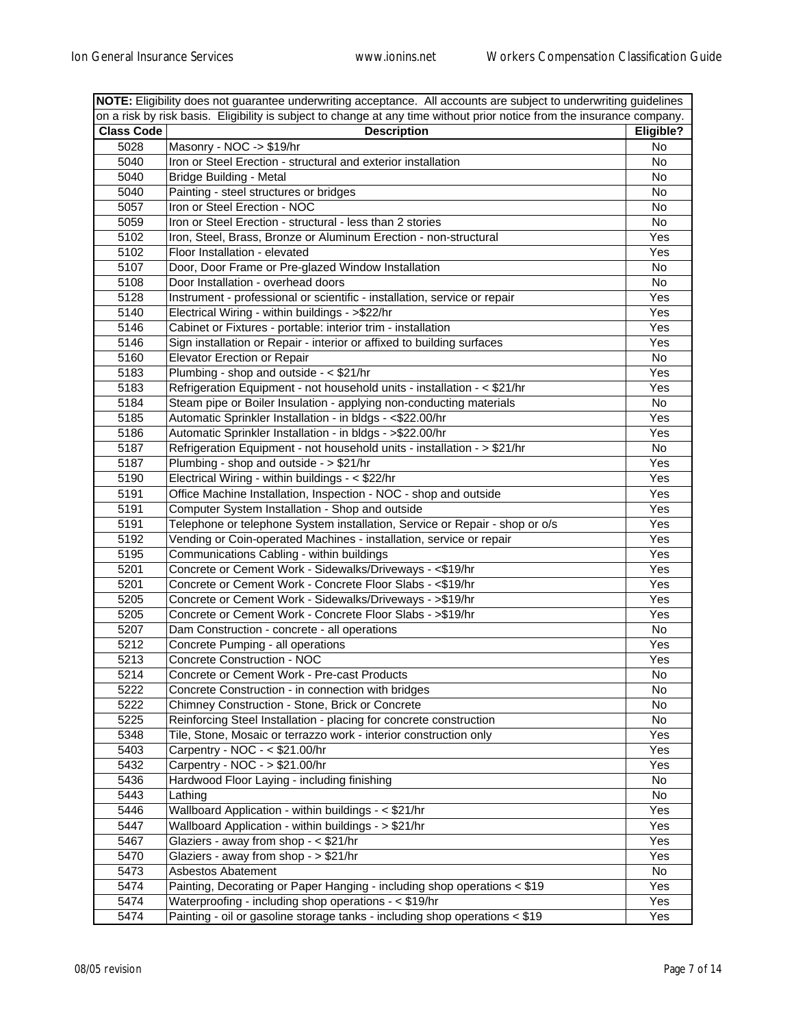| NOTE: Eligibility does not guarantee underwriting acceptance. All accounts are subject to underwriting guidelines |                                                                                                                        |           |
|-------------------------------------------------------------------------------------------------------------------|------------------------------------------------------------------------------------------------------------------------|-----------|
|                                                                                                                   | on a risk by risk basis. Eligibility is subject to change at any time without prior notice from the insurance company. |           |
| <b>Class Code</b><br>Eligible?<br><b>Description</b>                                                              |                                                                                                                        |           |
| 5028                                                                                                              | Masonry - NOC -> \$19/hr                                                                                               | No        |
| 5040                                                                                                              | Iron or Steel Erection - structural and exterior installation                                                          | No        |
| 5040                                                                                                              | <b>Bridge Building - Metal</b>                                                                                         | No        |
| 5040                                                                                                              | Painting - steel structures or bridges                                                                                 | No        |
| 5057                                                                                                              | Iron or Steel Erection - NOC                                                                                           | No        |
| 5059                                                                                                              | Iron or Steel Erection - structural - less than 2 stories                                                              | No        |
| 5102                                                                                                              | Iron, Steel, Brass, Bronze or Aluminum Erection - non-structural                                                       | Yes       |
| 5102                                                                                                              | Floor Installation - elevated                                                                                          | Yes       |
| 5107                                                                                                              | Door, Door Frame or Pre-glazed Window Installation                                                                     | No        |
| 5108                                                                                                              | Door Installation - overhead doors                                                                                     | No        |
| 5128                                                                                                              | Instrument - professional or scientific - installation, service or repair                                              | Yes       |
| 5140                                                                                                              | Electrical Wiring - within buildings - >\$22/hr                                                                        | Yes       |
| 5146                                                                                                              | Cabinet or Fixtures - portable: interior trim - installation                                                           | Yes       |
| 5146                                                                                                              | Sign installation or Repair - interior or affixed to building surfaces                                                 | Yes       |
| 5160                                                                                                              | <b>Elevator Erection or Repair</b>                                                                                     | No        |
| 5183                                                                                                              | Plumbing - shop and outside - < \$21/hr                                                                                | Yes       |
| 5183                                                                                                              | Refrigeration Equipment - not household units - installation - < \$21/hr                                               | Yes       |
| 5184                                                                                                              | Steam pipe or Boiler Insulation - applying non-conducting materials                                                    | No        |
| 5185                                                                                                              | Automatic Sprinkler Installation - in bldgs - <\$22.00/hr                                                              | Yes       |
| 5186                                                                                                              | Automatic Sprinkler Installation - in bldgs - > \$22.00/hr                                                             | Yes       |
| 5187                                                                                                              | Refrigeration Equipment - not household units - installation - > \$21/hr                                               | No        |
| 5187                                                                                                              | Plumbing - shop and outside - $>$ \$21/hr                                                                              | Yes       |
| 5190                                                                                                              | Electrical Wiring - within buildings - < \$22/hr                                                                       | Yes       |
| 5191                                                                                                              | Office Machine Installation, Inspection - NOC - shop and outside                                                       | Yes       |
| 5191                                                                                                              | Computer System Installation - Shop and outside                                                                        | Yes       |
| 5191                                                                                                              | Telephone or telephone System installation, Service or Repair - shop or o/s                                            | Yes       |
| 5192                                                                                                              | Vending or Coin-operated Machines - installation, service or repair                                                    | Yes       |
| 5195                                                                                                              | Communications Cabling - within buildings                                                                              | Yes       |
| 5201                                                                                                              | Concrete or Cement Work - Sidewalks/Driveways - <\$19/hr                                                               | Yes       |
| 5201                                                                                                              | Concrete or Cement Work - Concrete Floor Slabs - <\$19/hr                                                              | Yes       |
| 5205                                                                                                              | Concrete or Cement Work - Sidewalks/Driveways - >\$19/hr                                                               | Yes       |
| 5205                                                                                                              | Concrete or Cement Work - Concrete Floor Slabs - >\$19/hr                                                              | Yes       |
| 5207                                                                                                              | Dam Construction - concrete - all operations                                                                           | No        |
| 5212                                                                                                              | Concrete Pumping - all operations                                                                                      | Yes       |
| 5213                                                                                                              | Concrete Construction - NOC                                                                                            | Yes       |
| 5214                                                                                                              | Concrete or Cement Work - Pre-cast Products                                                                            | No        |
| 5222                                                                                                              | Concrete Construction - in connection with bridges                                                                     | No        |
| 5222                                                                                                              | Chimney Construction - Stone, Brick or Concrete                                                                        | No        |
| 5225                                                                                                              | Reinforcing Steel Installation - placing for concrete construction                                                     | No        |
| 5348                                                                                                              | Tile, Stone, Mosaic or terrazzo work - interior construction only                                                      | Yes       |
| 5403                                                                                                              | Carpentry - NOC - < \$21.00/hr                                                                                         | Yes       |
| 5432                                                                                                              | Carpentry - NOC - > \$21.00/hr                                                                                         | Yes       |
| 5436                                                                                                              | Hardwood Floor Laying - including finishing                                                                            | No        |
| 5443                                                                                                              | Lathing                                                                                                                | No        |
| 5446                                                                                                              | Wallboard Application - within buildings - < \$21/hr                                                                   | Yes       |
| 5447                                                                                                              | Wallboard Application - within buildings - > \$21/hr                                                                   | Yes       |
| 5467                                                                                                              | Glaziers - away from shop - < \$21/hr                                                                                  | Yes       |
| 5470                                                                                                              | Glaziers - away from shop - > \$21/hr                                                                                  | Yes       |
| 5473                                                                                                              | Asbestos Abatement                                                                                                     |           |
| 5474                                                                                                              | Painting, Decorating or Paper Hanging - including shop operations < \$19                                               | No<br>Yes |
| 5474                                                                                                              | Waterproofing - including shop operations - < \$19/hr                                                                  | Yes       |
| 5474                                                                                                              | Painting - oil or gasoline storage tanks - including shop operations < \$19                                            | Yes       |
|                                                                                                                   |                                                                                                                        |           |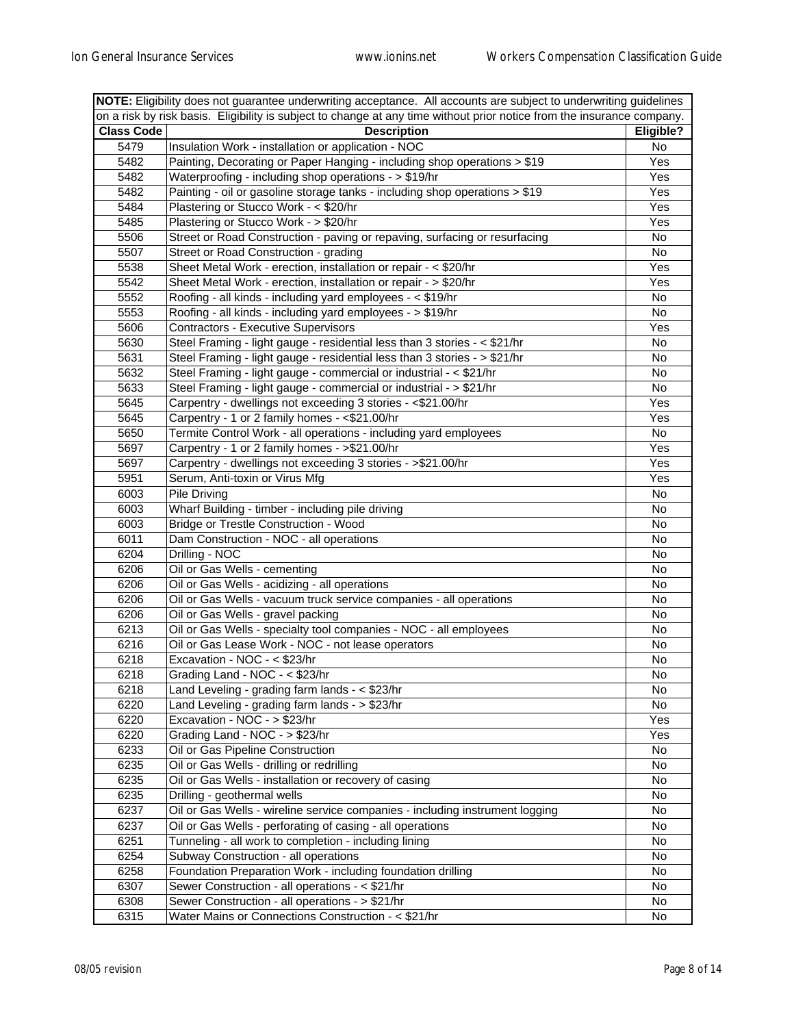| on a risk by risk basis. Eligibility is subject to change at any time without prior notice from the insurance company.<br><b>Class Code</b><br>Eligible?<br><b>Description</b><br>Insulation Work - installation or application - NOC<br>5479<br>No<br>5482<br>Painting, Decorating or Paper Hanging - including shop operations > \$19<br>Yes<br>5482<br>Waterproofing - including shop operations - > \$19/hr<br>Yes<br>Painting - oil or gasoline storage tanks - including shop operations > \$19<br>5482<br>Yes<br>Plastering or Stucco Work - < \$20/hr<br>5484<br>Yes<br>5485<br>Plastering or Stucco Work - > \$20/hr<br>Yes<br>5506<br>Street or Road Construction - paving or repaving, surfacing or resurfacing<br>No<br>5507<br>Street or Road Construction - grading<br>No<br>Sheet Metal Work - erection, installation or repair - < \$20/hr<br>5538<br>Yes<br>5542<br>Sheet Metal Work - erection, installation or repair - > \$20/hr<br>Yes<br>5552<br>Roofing - all kinds - including yard employees - < \$19/hr<br>No<br>5553<br>Roofing - all kinds - including yard employees - > \$19/hr<br>No<br>5606<br><b>Contractors - Executive Supervisors</b><br>Yes<br>5630<br>Steel Framing - light gauge - residential less than 3 stories - < \$21/hr<br>No<br>5631<br>Steel Framing - light gauge - residential less than 3 stories - > \$21/hr<br>No<br>5632<br>Steel Framing - light gauge - commercial or industrial - < \$21/hr<br>No<br>5633<br>Steel Framing - light gauge - commercial or industrial - > \$21/hr<br>No<br>5645<br>Carpentry - dwellings not exceeding 3 stories - <\$21.00/hr<br>Yes<br>5645<br>Carpentry - 1 or 2 family homes - <\$21.00/hr<br>Yes<br>Termite Control Work - all operations - including yard employees<br>5650<br>No<br>Carpentry - 1 or 2 family homes - > \$21.00/hr<br>5697<br>Yes<br>Carpentry - dwellings not exceeding 3 stories - >\$21.00/hr<br>5697<br>Yes<br>Serum, Anti-toxin or Virus Mfg<br>5951<br>Yes<br>6003<br>Pile Driving<br>No<br>Wharf Building - timber - including pile driving<br>6003<br>No<br>6003<br>Bridge or Trestle Construction - Wood<br>No<br>6011<br>Dam Construction - NOC - all operations<br>No<br>6204<br>Drilling - NOC<br>No<br>6206<br>Oil or Gas Wells - cementing<br>No<br>6206<br>Oil or Gas Wells - acidizing - all operations<br>No<br>6206<br>Oil or Gas Wells - vacuum truck service companies - all operations<br>No<br>6206<br>Oil or Gas Wells - gravel packing<br>No<br>Oil or Gas Wells - specialty tool companies - NOC - all employees<br>6213<br>No<br>6216<br>Oil or Gas Lease Work - NOC - not lease operators<br>No<br>6218<br>Excavation - NOC - < \$23/hr<br>No<br>6218<br>Grading Land - NOC - < \$23/hr<br>No<br>6218<br>Land Leveling - grading farm lands - < \$23/hr<br>No<br>Land Leveling - grading farm lands - > \$23/hr<br>6220<br>No<br>6220<br>Excavation - NOC - > \$23/hr<br>Yes<br>6220<br>Grading Land - NOC - > \$23/hr<br>Yes<br>6233<br>Oil or Gas Pipeline Construction<br>No<br>6235<br>Oil or Gas Wells - drilling or redrilling<br>No<br>6235<br>Oil or Gas Wells - installation or recovery of casing<br>No | NOTE: Eligibility does not guarantee underwriting acceptance. All accounts are subject to underwriting guidelines |                             |    |
|------------------------------------------------------------------------------------------------------------------------------------------------------------------------------------------------------------------------------------------------------------------------------------------------------------------------------------------------------------------------------------------------------------------------------------------------------------------------------------------------------------------------------------------------------------------------------------------------------------------------------------------------------------------------------------------------------------------------------------------------------------------------------------------------------------------------------------------------------------------------------------------------------------------------------------------------------------------------------------------------------------------------------------------------------------------------------------------------------------------------------------------------------------------------------------------------------------------------------------------------------------------------------------------------------------------------------------------------------------------------------------------------------------------------------------------------------------------------------------------------------------------------------------------------------------------------------------------------------------------------------------------------------------------------------------------------------------------------------------------------------------------------------------------------------------------------------------------------------------------------------------------------------------------------------------------------------------------------------------------------------------------------------------------------------------------------------------------------------------------------------------------------------------------------------------------------------------------------------------------------------------------------------------------------------------------------------------------------------------------------------------------------------------------------------------------------------------------------------------------------------------------------------------------------------------------------------------------------------------------------------------------------------------------------------------------------------------------------------------------------------------------------------------------------------------------------------------------------------------------------------------------------------------------------------------------------------------------------------------------------------------------------------------------------------------------------------------------------------------------------------------------------------------|-------------------------------------------------------------------------------------------------------------------|-----------------------------|----|
|                                                                                                                                                                                                                                                                                                                                                                                                                                                                                                                                                                                                                                                                                                                                                                                                                                                                                                                                                                                                                                                                                                                                                                                                                                                                                                                                                                                                                                                                                                                                                                                                                                                                                                                                                                                                                                                                                                                                                                                                                                                                                                                                                                                                                                                                                                                                                                                                                                                                                                                                                                                                                                                                                                                                                                                                                                                                                                                                                                                                                                                                                                                                                            |                                                                                                                   |                             |    |
|                                                                                                                                                                                                                                                                                                                                                                                                                                                                                                                                                                                                                                                                                                                                                                                                                                                                                                                                                                                                                                                                                                                                                                                                                                                                                                                                                                                                                                                                                                                                                                                                                                                                                                                                                                                                                                                                                                                                                                                                                                                                                                                                                                                                                                                                                                                                                                                                                                                                                                                                                                                                                                                                                                                                                                                                                                                                                                                                                                                                                                                                                                                                                            |                                                                                                                   |                             |    |
|                                                                                                                                                                                                                                                                                                                                                                                                                                                                                                                                                                                                                                                                                                                                                                                                                                                                                                                                                                                                                                                                                                                                                                                                                                                                                                                                                                                                                                                                                                                                                                                                                                                                                                                                                                                                                                                                                                                                                                                                                                                                                                                                                                                                                                                                                                                                                                                                                                                                                                                                                                                                                                                                                                                                                                                                                                                                                                                                                                                                                                                                                                                                                            |                                                                                                                   |                             |    |
|                                                                                                                                                                                                                                                                                                                                                                                                                                                                                                                                                                                                                                                                                                                                                                                                                                                                                                                                                                                                                                                                                                                                                                                                                                                                                                                                                                                                                                                                                                                                                                                                                                                                                                                                                                                                                                                                                                                                                                                                                                                                                                                                                                                                                                                                                                                                                                                                                                                                                                                                                                                                                                                                                                                                                                                                                                                                                                                                                                                                                                                                                                                                                            |                                                                                                                   |                             |    |
|                                                                                                                                                                                                                                                                                                                                                                                                                                                                                                                                                                                                                                                                                                                                                                                                                                                                                                                                                                                                                                                                                                                                                                                                                                                                                                                                                                                                                                                                                                                                                                                                                                                                                                                                                                                                                                                                                                                                                                                                                                                                                                                                                                                                                                                                                                                                                                                                                                                                                                                                                                                                                                                                                                                                                                                                                                                                                                                                                                                                                                                                                                                                                            |                                                                                                                   |                             |    |
|                                                                                                                                                                                                                                                                                                                                                                                                                                                                                                                                                                                                                                                                                                                                                                                                                                                                                                                                                                                                                                                                                                                                                                                                                                                                                                                                                                                                                                                                                                                                                                                                                                                                                                                                                                                                                                                                                                                                                                                                                                                                                                                                                                                                                                                                                                                                                                                                                                                                                                                                                                                                                                                                                                                                                                                                                                                                                                                                                                                                                                                                                                                                                            |                                                                                                                   |                             |    |
|                                                                                                                                                                                                                                                                                                                                                                                                                                                                                                                                                                                                                                                                                                                                                                                                                                                                                                                                                                                                                                                                                                                                                                                                                                                                                                                                                                                                                                                                                                                                                                                                                                                                                                                                                                                                                                                                                                                                                                                                                                                                                                                                                                                                                                                                                                                                                                                                                                                                                                                                                                                                                                                                                                                                                                                                                                                                                                                                                                                                                                                                                                                                                            |                                                                                                                   |                             |    |
|                                                                                                                                                                                                                                                                                                                                                                                                                                                                                                                                                                                                                                                                                                                                                                                                                                                                                                                                                                                                                                                                                                                                                                                                                                                                                                                                                                                                                                                                                                                                                                                                                                                                                                                                                                                                                                                                                                                                                                                                                                                                                                                                                                                                                                                                                                                                                                                                                                                                                                                                                                                                                                                                                                                                                                                                                                                                                                                                                                                                                                                                                                                                                            |                                                                                                                   |                             |    |
|                                                                                                                                                                                                                                                                                                                                                                                                                                                                                                                                                                                                                                                                                                                                                                                                                                                                                                                                                                                                                                                                                                                                                                                                                                                                                                                                                                                                                                                                                                                                                                                                                                                                                                                                                                                                                                                                                                                                                                                                                                                                                                                                                                                                                                                                                                                                                                                                                                                                                                                                                                                                                                                                                                                                                                                                                                                                                                                                                                                                                                                                                                                                                            |                                                                                                                   |                             |    |
|                                                                                                                                                                                                                                                                                                                                                                                                                                                                                                                                                                                                                                                                                                                                                                                                                                                                                                                                                                                                                                                                                                                                                                                                                                                                                                                                                                                                                                                                                                                                                                                                                                                                                                                                                                                                                                                                                                                                                                                                                                                                                                                                                                                                                                                                                                                                                                                                                                                                                                                                                                                                                                                                                                                                                                                                                                                                                                                                                                                                                                                                                                                                                            |                                                                                                                   |                             |    |
|                                                                                                                                                                                                                                                                                                                                                                                                                                                                                                                                                                                                                                                                                                                                                                                                                                                                                                                                                                                                                                                                                                                                                                                                                                                                                                                                                                                                                                                                                                                                                                                                                                                                                                                                                                                                                                                                                                                                                                                                                                                                                                                                                                                                                                                                                                                                                                                                                                                                                                                                                                                                                                                                                                                                                                                                                                                                                                                                                                                                                                                                                                                                                            |                                                                                                                   |                             |    |
|                                                                                                                                                                                                                                                                                                                                                                                                                                                                                                                                                                                                                                                                                                                                                                                                                                                                                                                                                                                                                                                                                                                                                                                                                                                                                                                                                                                                                                                                                                                                                                                                                                                                                                                                                                                                                                                                                                                                                                                                                                                                                                                                                                                                                                                                                                                                                                                                                                                                                                                                                                                                                                                                                                                                                                                                                                                                                                                                                                                                                                                                                                                                                            |                                                                                                                   |                             |    |
|                                                                                                                                                                                                                                                                                                                                                                                                                                                                                                                                                                                                                                                                                                                                                                                                                                                                                                                                                                                                                                                                                                                                                                                                                                                                                                                                                                                                                                                                                                                                                                                                                                                                                                                                                                                                                                                                                                                                                                                                                                                                                                                                                                                                                                                                                                                                                                                                                                                                                                                                                                                                                                                                                                                                                                                                                                                                                                                                                                                                                                                                                                                                                            |                                                                                                                   |                             |    |
|                                                                                                                                                                                                                                                                                                                                                                                                                                                                                                                                                                                                                                                                                                                                                                                                                                                                                                                                                                                                                                                                                                                                                                                                                                                                                                                                                                                                                                                                                                                                                                                                                                                                                                                                                                                                                                                                                                                                                                                                                                                                                                                                                                                                                                                                                                                                                                                                                                                                                                                                                                                                                                                                                                                                                                                                                                                                                                                                                                                                                                                                                                                                                            |                                                                                                                   |                             |    |
|                                                                                                                                                                                                                                                                                                                                                                                                                                                                                                                                                                                                                                                                                                                                                                                                                                                                                                                                                                                                                                                                                                                                                                                                                                                                                                                                                                                                                                                                                                                                                                                                                                                                                                                                                                                                                                                                                                                                                                                                                                                                                                                                                                                                                                                                                                                                                                                                                                                                                                                                                                                                                                                                                                                                                                                                                                                                                                                                                                                                                                                                                                                                                            |                                                                                                                   |                             |    |
|                                                                                                                                                                                                                                                                                                                                                                                                                                                                                                                                                                                                                                                                                                                                                                                                                                                                                                                                                                                                                                                                                                                                                                                                                                                                                                                                                                                                                                                                                                                                                                                                                                                                                                                                                                                                                                                                                                                                                                                                                                                                                                                                                                                                                                                                                                                                                                                                                                                                                                                                                                                                                                                                                                                                                                                                                                                                                                                                                                                                                                                                                                                                                            |                                                                                                                   |                             |    |
|                                                                                                                                                                                                                                                                                                                                                                                                                                                                                                                                                                                                                                                                                                                                                                                                                                                                                                                                                                                                                                                                                                                                                                                                                                                                                                                                                                                                                                                                                                                                                                                                                                                                                                                                                                                                                                                                                                                                                                                                                                                                                                                                                                                                                                                                                                                                                                                                                                                                                                                                                                                                                                                                                                                                                                                                                                                                                                                                                                                                                                                                                                                                                            |                                                                                                                   |                             |    |
|                                                                                                                                                                                                                                                                                                                                                                                                                                                                                                                                                                                                                                                                                                                                                                                                                                                                                                                                                                                                                                                                                                                                                                                                                                                                                                                                                                                                                                                                                                                                                                                                                                                                                                                                                                                                                                                                                                                                                                                                                                                                                                                                                                                                                                                                                                                                                                                                                                                                                                                                                                                                                                                                                                                                                                                                                                                                                                                                                                                                                                                                                                                                                            |                                                                                                                   |                             |    |
|                                                                                                                                                                                                                                                                                                                                                                                                                                                                                                                                                                                                                                                                                                                                                                                                                                                                                                                                                                                                                                                                                                                                                                                                                                                                                                                                                                                                                                                                                                                                                                                                                                                                                                                                                                                                                                                                                                                                                                                                                                                                                                                                                                                                                                                                                                                                                                                                                                                                                                                                                                                                                                                                                                                                                                                                                                                                                                                                                                                                                                                                                                                                                            |                                                                                                                   |                             |    |
|                                                                                                                                                                                                                                                                                                                                                                                                                                                                                                                                                                                                                                                                                                                                                                                                                                                                                                                                                                                                                                                                                                                                                                                                                                                                                                                                                                                                                                                                                                                                                                                                                                                                                                                                                                                                                                                                                                                                                                                                                                                                                                                                                                                                                                                                                                                                                                                                                                                                                                                                                                                                                                                                                                                                                                                                                                                                                                                                                                                                                                                                                                                                                            |                                                                                                                   |                             |    |
|                                                                                                                                                                                                                                                                                                                                                                                                                                                                                                                                                                                                                                                                                                                                                                                                                                                                                                                                                                                                                                                                                                                                                                                                                                                                                                                                                                                                                                                                                                                                                                                                                                                                                                                                                                                                                                                                                                                                                                                                                                                                                                                                                                                                                                                                                                                                                                                                                                                                                                                                                                                                                                                                                                                                                                                                                                                                                                                                                                                                                                                                                                                                                            |                                                                                                                   |                             |    |
|                                                                                                                                                                                                                                                                                                                                                                                                                                                                                                                                                                                                                                                                                                                                                                                                                                                                                                                                                                                                                                                                                                                                                                                                                                                                                                                                                                                                                                                                                                                                                                                                                                                                                                                                                                                                                                                                                                                                                                                                                                                                                                                                                                                                                                                                                                                                                                                                                                                                                                                                                                                                                                                                                                                                                                                                                                                                                                                                                                                                                                                                                                                                                            |                                                                                                                   |                             |    |
|                                                                                                                                                                                                                                                                                                                                                                                                                                                                                                                                                                                                                                                                                                                                                                                                                                                                                                                                                                                                                                                                                                                                                                                                                                                                                                                                                                                                                                                                                                                                                                                                                                                                                                                                                                                                                                                                                                                                                                                                                                                                                                                                                                                                                                                                                                                                                                                                                                                                                                                                                                                                                                                                                                                                                                                                                                                                                                                                                                                                                                                                                                                                                            |                                                                                                                   |                             |    |
|                                                                                                                                                                                                                                                                                                                                                                                                                                                                                                                                                                                                                                                                                                                                                                                                                                                                                                                                                                                                                                                                                                                                                                                                                                                                                                                                                                                                                                                                                                                                                                                                                                                                                                                                                                                                                                                                                                                                                                                                                                                                                                                                                                                                                                                                                                                                                                                                                                                                                                                                                                                                                                                                                                                                                                                                                                                                                                                                                                                                                                                                                                                                                            |                                                                                                                   |                             |    |
|                                                                                                                                                                                                                                                                                                                                                                                                                                                                                                                                                                                                                                                                                                                                                                                                                                                                                                                                                                                                                                                                                                                                                                                                                                                                                                                                                                                                                                                                                                                                                                                                                                                                                                                                                                                                                                                                                                                                                                                                                                                                                                                                                                                                                                                                                                                                                                                                                                                                                                                                                                                                                                                                                                                                                                                                                                                                                                                                                                                                                                                                                                                                                            |                                                                                                                   |                             |    |
|                                                                                                                                                                                                                                                                                                                                                                                                                                                                                                                                                                                                                                                                                                                                                                                                                                                                                                                                                                                                                                                                                                                                                                                                                                                                                                                                                                                                                                                                                                                                                                                                                                                                                                                                                                                                                                                                                                                                                                                                                                                                                                                                                                                                                                                                                                                                                                                                                                                                                                                                                                                                                                                                                                                                                                                                                                                                                                                                                                                                                                                                                                                                                            |                                                                                                                   |                             |    |
|                                                                                                                                                                                                                                                                                                                                                                                                                                                                                                                                                                                                                                                                                                                                                                                                                                                                                                                                                                                                                                                                                                                                                                                                                                                                                                                                                                                                                                                                                                                                                                                                                                                                                                                                                                                                                                                                                                                                                                                                                                                                                                                                                                                                                                                                                                                                                                                                                                                                                                                                                                                                                                                                                                                                                                                                                                                                                                                                                                                                                                                                                                                                                            |                                                                                                                   |                             |    |
|                                                                                                                                                                                                                                                                                                                                                                                                                                                                                                                                                                                                                                                                                                                                                                                                                                                                                                                                                                                                                                                                                                                                                                                                                                                                                                                                                                                                                                                                                                                                                                                                                                                                                                                                                                                                                                                                                                                                                                                                                                                                                                                                                                                                                                                                                                                                                                                                                                                                                                                                                                                                                                                                                                                                                                                                                                                                                                                                                                                                                                                                                                                                                            |                                                                                                                   |                             |    |
|                                                                                                                                                                                                                                                                                                                                                                                                                                                                                                                                                                                                                                                                                                                                                                                                                                                                                                                                                                                                                                                                                                                                                                                                                                                                                                                                                                                                                                                                                                                                                                                                                                                                                                                                                                                                                                                                                                                                                                                                                                                                                                                                                                                                                                                                                                                                                                                                                                                                                                                                                                                                                                                                                                                                                                                                                                                                                                                                                                                                                                                                                                                                                            |                                                                                                                   |                             |    |
|                                                                                                                                                                                                                                                                                                                                                                                                                                                                                                                                                                                                                                                                                                                                                                                                                                                                                                                                                                                                                                                                                                                                                                                                                                                                                                                                                                                                                                                                                                                                                                                                                                                                                                                                                                                                                                                                                                                                                                                                                                                                                                                                                                                                                                                                                                                                                                                                                                                                                                                                                                                                                                                                                                                                                                                                                                                                                                                                                                                                                                                                                                                                                            |                                                                                                                   |                             |    |
|                                                                                                                                                                                                                                                                                                                                                                                                                                                                                                                                                                                                                                                                                                                                                                                                                                                                                                                                                                                                                                                                                                                                                                                                                                                                                                                                                                                                                                                                                                                                                                                                                                                                                                                                                                                                                                                                                                                                                                                                                                                                                                                                                                                                                                                                                                                                                                                                                                                                                                                                                                                                                                                                                                                                                                                                                                                                                                                                                                                                                                                                                                                                                            |                                                                                                                   |                             |    |
|                                                                                                                                                                                                                                                                                                                                                                                                                                                                                                                                                                                                                                                                                                                                                                                                                                                                                                                                                                                                                                                                                                                                                                                                                                                                                                                                                                                                                                                                                                                                                                                                                                                                                                                                                                                                                                                                                                                                                                                                                                                                                                                                                                                                                                                                                                                                                                                                                                                                                                                                                                                                                                                                                                                                                                                                                                                                                                                                                                                                                                                                                                                                                            |                                                                                                                   |                             |    |
|                                                                                                                                                                                                                                                                                                                                                                                                                                                                                                                                                                                                                                                                                                                                                                                                                                                                                                                                                                                                                                                                                                                                                                                                                                                                                                                                                                                                                                                                                                                                                                                                                                                                                                                                                                                                                                                                                                                                                                                                                                                                                                                                                                                                                                                                                                                                                                                                                                                                                                                                                                                                                                                                                                                                                                                                                                                                                                                                                                                                                                                                                                                                                            |                                                                                                                   |                             |    |
|                                                                                                                                                                                                                                                                                                                                                                                                                                                                                                                                                                                                                                                                                                                                                                                                                                                                                                                                                                                                                                                                                                                                                                                                                                                                                                                                                                                                                                                                                                                                                                                                                                                                                                                                                                                                                                                                                                                                                                                                                                                                                                                                                                                                                                                                                                                                                                                                                                                                                                                                                                                                                                                                                                                                                                                                                                                                                                                                                                                                                                                                                                                                                            |                                                                                                                   |                             |    |
|                                                                                                                                                                                                                                                                                                                                                                                                                                                                                                                                                                                                                                                                                                                                                                                                                                                                                                                                                                                                                                                                                                                                                                                                                                                                                                                                                                                                                                                                                                                                                                                                                                                                                                                                                                                                                                                                                                                                                                                                                                                                                                                                                                                                                                                                                                                                                                                                                                                                                                                                                                                                                                                                                                                                                                                                                                                                                                                                                                                                                                                                                                                                                            |                                                                                                                   |                             |    |
|                                                                                                                                                                                                                                                                                                                                                                                                                                                                                                                                                                                                                                                                                                                                                                                                                                                                                                                                                                                                                                                                                                                                                                                                                                                                                                                                                                                                                                                                                                                                                                                                                                                                                                                                                                                                                                                                                                                                                                                                                                                                                                                                                                                                                                                                                                                                                                                                                                                                                                                                                                                                                                                                                                                                                                                                                                                                                                                                                                                                                                                                                                                                                            |                                                                                                                   |                             |    |
|                                                                                                                                                                                                                                                                                                                                                                                                                                                                                                                                                                                                                                                                                                                                                                                                                                                                                                                                                                                                                                                                                                                                                                                                                                                                                                                                                                                                                                                                                                                                                                                                                                                                                                                                                                                                                                                                                                                                                                                                                                                                                                                                                                                                                                                                                                                                                                                                                                                                                                                                                                                                                                                                                                                                                                                                                                                                                                                                                                                                                                                                                                                                                            |                                                                                                                   |                             |    |
|                                                                                                                                                                                                                                                                                                                                                                                                                                                                                                                                                                                                                                                                                                                                                                                                                                                                                                                                                                                                                                                                                                                                                                                                                                                                                                                                                                                                                                                                                                                                                                                                                                                                                                                                                                                                                                                                                                                                                                                                                                                                                                                                                                                                                                                                                                                                                                                                                                                                                                                                                                                                                                                                                                                                                                                                                                                                                                                                                                                                                                                                                                                                                            |                                                                                                                   |                             |    |
|                                                                                                                                                                                                                                                                                                                                                                                                                                                                                                                                                                                                                                                                                                                                                                                                                                                                                                                                                                                                                                                                                                                                                                                                                                                                                                                                                                                                                                                                                                                                                                                                                                                                                                                                                                                                                                                                                                                                                                                                                                                                                                                                                                                                                                                                                                                                                                                                                                                                                                                                                                                                                                                                                                                                                                                                                                                                                                                                                                                                                                                                                                                                                            |                                                                                                                   |                             |    |
|                                                                                                                                                                                                                                                                                                                                                                                                                                                                                                                                                                                                                                                                                                                                                                                                                                                                                                                                                                                                                                                                                                                                                                                                                                                                                                                                                                                                                                                                                                                                                                                                                                                                                                                                                                                                                                                                                                                                                                                                                                                                                                                                                                                                                                                                                                                                                                                                                                                                                                                                                                                                                                                                                                                                                                                                                                                                                                                                                                                                                                                                                                                                                            |                                                                                                                   |                             |    |
|                                                                                                                                                                                                                                                                                                                                                                                                                                                                                                                                                                                                                                                                                                                                                                                                                                                                                                                                                                                                                                                                                                                                                                                                                                                                                                                                                                                                                                                                                                                                                                                                                                                                                                                                                                                                                                                                                                                                                                                                                                                                                                                                                                                                                                                                                                                                                                                                                                                                                                                                                                                                                                                                                                                                                                                                                                                                                                                                                                                                                                                                                                                                                            |                                                                                                                   |                             |    |
|                                                                                                                                                                                                                                                                                                                                                                                                                                                                                                                                                                                                                                                                                                                                                                                                                                                                                                                                                                                                                                                                                                                                                                                                                                                                                                                                                                                                                                                                                                                                                                                                                                                                                                                                                                                                                                                                                                                                                                                                                                                                                                                                                                                                                                                                                                                                                                                                                                                                                                                                                                                                                                                                                                                                                                                                                                                                                                                                                                                                                                                                                                                                                            |                                                                                                                   |                             |    |
|                                                                                                                                                                                                                                                                                                                                                                                                                                                                                                                                                                                                                                                                                                                                                                                                                                                                                                                                                                                                                                                                                                                                                                                                                                                                                                                                                                                                                                                                                                                                                                                                                                                                                                                                                                                                                                                                                                                                                                                                                                                                                                                                                                                                                                                                                                                                                                                                                                                                                                                                                                                                                                                                                                                                                                                                                                                                                                                                                                                                                                                                                                                                                            |                                                                                                                   |                             |    |
|                                                                                                                                                                                                                                                                                                                                                                                                                                                                                                                                                                                                                                                                                                                                                                                                                                                                                                                                                                                                                                                                                                                                                                                                                                                                                                                                                                                                                                                                                                                                                                                                                                                                                                                                                                                                                                                                                                                                                                                                                                                                                                                                                                                                                                                                                                                                                                                                                                                                                                                                                                                                                                                                                                                                                                                                                                                                                                                                                                                                                                                                                                                                                            |                                                                                                                   |                             |    |
|                                                                                                                                                                                                                                                                                                                                                                                                                                                                                                                                                                                                                                                                                                                                                                                                                                                                                                                                                                                                                                                                                                                                                                                                                                                                                                                                                                                                                                                                                                                                                                                                                                                                                                                                                                                                                                                                                                                                                                                                                                                                                                                                                                                                                                                                                                                                                                                                                                                                                                                                                                                                                                                                                                                                                                                                                                                                                                                                                                                                                                                                                                                                                            |                                                                                                                   |                             |    |
|                                                                                                                                                                                                                                                                                                                                                                                                                                                                                                                                                                                                                                                                                                                                                                                                                                                                                                                                                                                                                                                                                                                                                                                                                                                                                                                                                                                                                                                                                                                                                                                                                                                                                                                                                                                                                                                                                                                                                                                                                                                                                                                                                                                                                                                                                                                                                                                                                                                                                                                                                                                                                                                                                                                                                                                                                                                                                                                                                                                                                                                                                                                                                            | 6235                                                                                                              | Drilling - geothermal wells | No |
| 6237<br>Oil or Gas Wells - wireline service companies - including instrument logging<br>No                                                                                                                                                                                                                                                                                                                                                                                                                                                                                                                                                                                                                                                                                                                                                                                                                                                                                                                                                                                                                                                                                                                                                                                                                                                                                                                                                                                                                                                                                                                                                                                                                                                                                                                                                                                                                                                                                                                                                                                                                                                                                                                                                                                                                                                                                                                                                                                                                                                                                                                                                                                                                                                                                                                                                                                                                                                                                                                                                                                                                                                                 |                                                                                                                   |                             |    |
| 6237<br>Oil or Gas Wells - perforating of casing - all operations<br>No                                                                                                                                                                                                                                                                                                                                                                                                                                                                                                                                                                                                                                                                                                                                                                                                                                                                                                                                                                                                                                                                                                                                                                                                                                                                                                                                                                                                                                                                                                                                                                                                                                                                                                                                                                                                                                                                                                                                                                                                                                                                                                                                                                                                                                                                                                                                                                                                                                                                                                                                                                                                                                                                                                                                                                                                                                                                                                                                                                                                                                                                                    |                                                                                                                   |                             |    |
| 6251<br>Tunneling - all work to completion - including lining<br>No                                                                                                                                                                                                                                                                                                                                                                                                                                                                                                                                                                                                                                                                                                                                                                                                                                                                                                                                                                                                                                                                                                                                                                                                                                                                                                                                                                                                                                                                                                                                                                                                                                                                                                                                                                                                                                                                                                                                                                                                                                                                                                                                                                                                                                                                                                                                                                                                                                                                                                                                                                                                                                                                                                                                                                                                                                                                                                                                                                                                                                                                                        |                                                                                                                   |                             |    |
| 6254<br>Subway Construction - all operations<br>No                                                                                                                                                                                                                                                                                                                                                                                                                                                                                                                                                                                                                                                                                                                                                                                                                                                                                                                                                                                                                                                                                                                                                                                                                                                                                                                                                                                                                                                                                                                                                                                                                                                                                                                                                                                                                                                                                                                                                                                                                                                                                                                                                                                                                                                                                                                                                                                                                                                                                                                                                                                                                                                                                                                                                                                                                                                                                                                                                                                                                                                                                                         |                                                                                                                   |                             |    |
| 6258<br>Foundation Preparation Work - including foundation drilling<br>No                                                                                                                                                                                                                                                                                                                                                                                                                                                                                                                                                                                                                                                                                                                                                                                                                                                                                                                                                                                                                                                                                                                                                                                                                                                                                                                                                                                                                                                                                                                                                                                                                                                                                                                                                                                                                                                                                                                                                                                                                                                                                                                                                                                                                                                                                                                                                                                                                                                                                                                                                                                                                                                                                                                                                                                                                                                                                                                                                                                                                                                                                  |                                                                                                                   |                             |    |
| 6307<br>Sewer Construction - all operations - < \$21/hr<br>No                                                                                                                                                                                                                                                                                                                                                                                                                                                                                                                                                                                                                                                                                                                                                                                                                                                                                                                                                                                                                                                                                                                                                                                                                                                                                                                                                                                                                                                                                                                                                                                                                                                                                                                                                                                                                                                                                                                                                                                                                                                                                                                                                                                                                                                                                                                                                                                                                                                                                                                                                                                                                                                                                                                                                                                                                                                                                                                                                                                                                                                                                              |                                                                                                                   |                             |    |
| 6308<br>Sewer Construction - all operations - > \$21/hr<br>No                                                                                                                                                                                                                                                                                                                                                                                                                                                                                                                                                                                                                                                                                                                                                                                                                                                                                                                                                                                                                                                                                                                                                                                                                                                                                                                                                                                                                                                                                                                                                                                                                                                                                                                                                                                                                                                                                                                                                                                                                                                                                                                                                                                                                                                                                                                                                                                                                                                                                                                                                                                                                                                                                                                                                                                                                                                                                                                                                                                                                                                                                              |                                                                                                                   |                             |    |
| 6315<br>Water Mains or Connections Construction - < \$21/hr<br>No                                                                                                                                                                                                                                                                                                                                                                                                                                                                                                                                                                                                                                                                                                                                                                                                                                                                                                                                                                                                                                                                                                                                                                                                                                                                                                                                                                                                                                                                                                                                                                                                                                                                                                                                                                                                                                                                                                                                                                                                                                                                                                                                                                                                                                                                                                                                                                                                                                                                                                                                                                                                                                                                                                                                                                                                                                                                                                                                                                                                                                                                                          |                                                                                                                   |                             |    |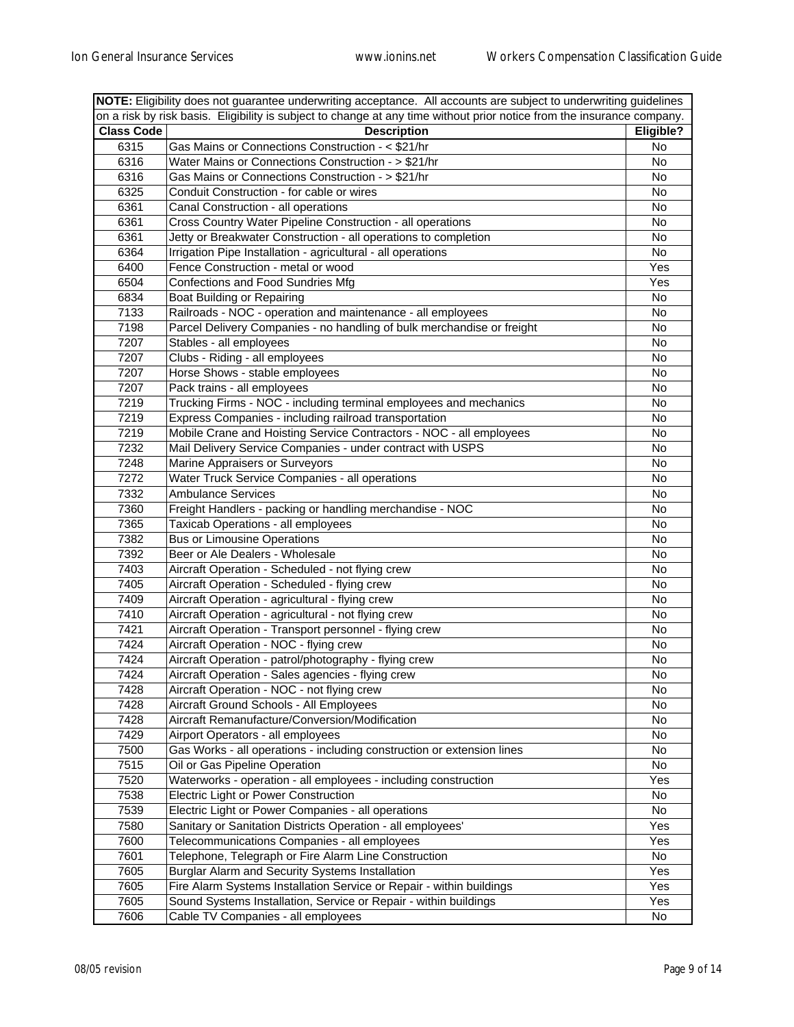| NOTE: Eligibility does not guarantee underwriting acceptance. All accounts are subject to underwriting guidelines      |                                                                        |           |  |
|------------------------------------------------------------------------------------------------------------------------|------------------------------------------------------------------------|-----------|--|
| on a risk by risk basis. Eligibility is subject to change at any time without prior notice from the insurance company. |                                                                        |           |  |
| <b>Class Code</b>                                                                                                      | <b>Description</b>                                                     | Eligible? |  |
| 6315                                                                                                                   | Gas Mains or Connections Construction - < \$21/hr                      | No        |  |
| 6316                                                                                                                   | Water Mains or Connections Construction - > \$21/hr                    | No        |  |
| 6316                                                                                                                   | Gas Mains or Connections Construction - > \$21/hr                      | No        |  |
| 6325                                                                                                                   | Conduit Construction - for cable or wires                              | No        |  |
| 6361                                                                                                                   | Canal Construction - all operations                                    | No        |  |
| 6361                                                                                                                   | Cross Country Water Pipeline Construction - all operations             | No        |  |
| 6361                                                                                                                   | Jetty or Breakwater Construction - all operations to completion        | No        |  |
| 6364                                                                                                                   | Irrigation Pipe Installation - agricultural - all operations           | No        |  |
| 6400                                                                                                                   | Fence Construction - metal or wood                                     | Yes       |  |
| 6504                                                                                                                   | Confections and Food Sundries Mfg                                      | Yes       |  |
| 6834                                                                                                                   | Boat Building or Repairing                                             | No        |  |
| 7133                                                                                                                   | Railroads - NOC - operation and maintenance - all employees            | No        |  |
| 7198                                                                                                                   | Parcel Delivery Companies - no handling of bulk merchandise or freight | No        |  |
| 7207                                                                                                                   | Stables - all employees                                                | No        |  |
| 7207                                                                                                                   | Clubs - Riding - all employees                                         | No        |  |
| 7207                                                                                                                   | Horse Shows - stable employees                                         | No        |  |
| 7207                                                                                                                   | Pack trains - all employees                                            | No        |  |
| 7219                                                                                                                   | Trucking Firms - NOC - including terminal employees and mechanics      | No        |  |
| 7219                                                                                                                   | Express Companies - including railroad transportation                  | No        |  |
| 7219                                                                                                                   | Mobile Crane and Hoisting Service Contractors - NOC - all employees    | No        |  |
| 7232                                                                                                                   | Mail Delivery Service Companies - under contract with USPS             | No        |  |
| 7248                                                                                                                   | Marine Appraisers or Surveyors                                         | No        |  |
| 7272                                                                                                                   | Water Truck Service Companies - all operations                         | No        |  |
| 7332                                                                                                                   | <b>Ambulance Services</b>                                              | No        |  |
| 7360                                                                                                                   | Freight Handlers - packing or handling merchandise - NOC               | No        |  |
| 7365                                                                                                                   | Taxicab Operations - all employees                                     | No        |  |
| 7382                                                                                                                   | <b>Bus or Limousine Operations</b>                                     | No        |  |
| 7392                                                                                                                   | Beer or Ale Dealers - Wholesale                                        | No        |  |
| 7403                                                                                                                   | Aircraft Operation - Scheduled - not flying crew                       | No        |  |
| 7405                                                                                                                   | Aircraft Operation - Scheduled - flying crew                           | No        |  |
| 7409                                                                                                                   | Aircraft Operation - agricultural - flying crew                        | No        |  |
| 7410                                                                                                                   | Aircraft Operation - agricultural - not flying crew                    | No        |  |
| 7421                                                                                                                   | Aircraft Operation - Transport personnel - flying crew                 | No        |  |
| 7424                                                                                                                   | Aircraft Operation - NOC - flying crew                                 | No        |  |
| 7424                                                                                                                   | Aircraft Operation - patrol/photography - flying crew                  | No        |  |
| 7424                                                                                                                   | Aircraft Operation - Sales agencies - flying crew                      | No        |  |
| 7428                                                                                                                   | Aircraft Operation - NOC - not flying crew                             | No        |  |
| 7428                                                                                                                   | Aircraft Ground Schools - All Employees                                | No        |  |
| 7428                                                                                                                   | Aircraft Remanufacture/Conversion/Modification                         | No        |  |
| 7429                                                                                                                   | Airport Operators - all employees                                      | No        |  |
| 7500                                                                                                                   | Gas Works - all operations - including construction or extension lines | No        |  |
| 7515                                                                                                                   | Oil or Gas Pipeline Operation                                          | No        |  |
| 7520                                                                                                                   | Waterworks - operation - all employees - including construction        | Yes       |  |
| 7538                                                                                                                   | Electric Light or Power Construction                                   | No        |  |
| 7539                                                                                                                   | Electric Light or Power Companies - all operations                     | No        |  |
| 7580                                                                                                                   | Sanitary or Sanitation Districts Operation - all employees'            | Yes       |  |
| 7600                                                                                                                   | Telecommunications Companies - all employees                           | Yes       |  |
| 7601                                                                                                                   | Telephone, Telegraph or Fire Alarm Line Construction                   | No        |  |
| 7605                                                                                                                   | Burglar Alarm and Security Systems Installation                        | Yes       |  |
| 7605                                                                                                                   | Fire Alarm Systems Installation Service or Repair - within buildings   | Yes       |  |
| 7605                                                                                                                   | Sound Systems Installation, Service or Repair - within buildings       | Yes       |  |
| 7606                                                                                                                   | Cable TV Companies - all employees                                     | No        |  |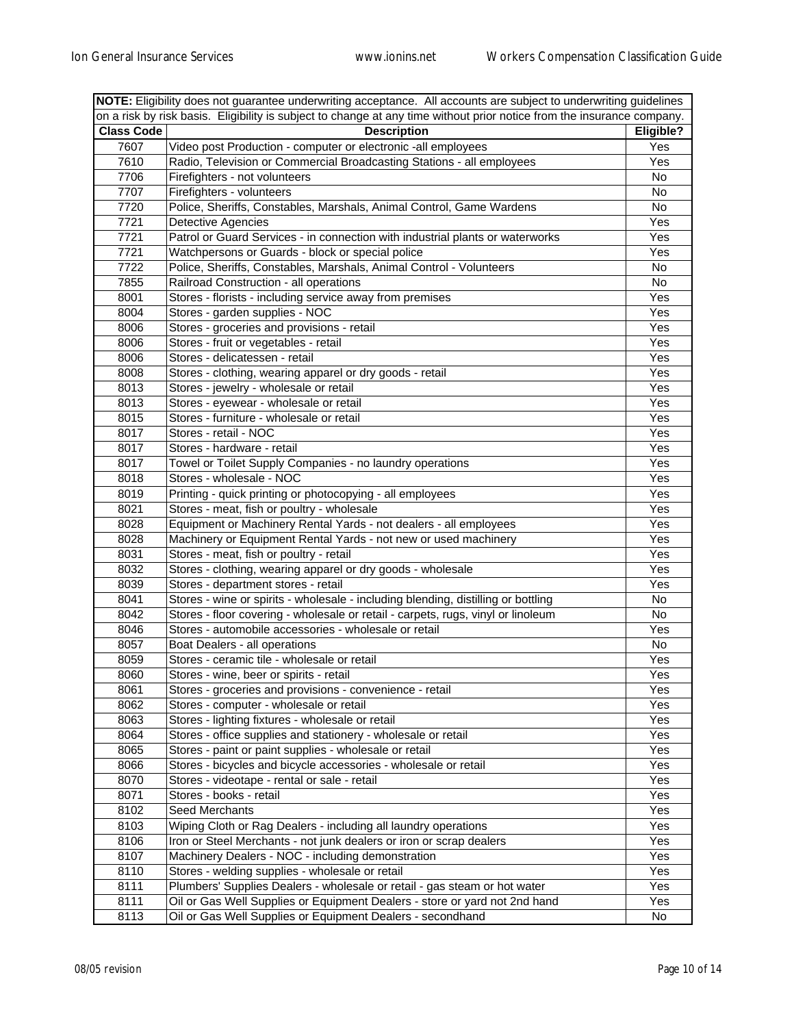| NOTE: Eligibility does not guarantee underwriting acceptance. All accounts are subject to underwriting guidelines |                                                                                                                        |           |  |
|-------------------------------------------------------------------------------------------------------------------|------------------------------------------------------------------------------------------------------------------------|-----------|--|
|                                                                                                                   | on a risk by risk basis. Eligibility is subject to change at any time without prior notice from the insurance company. |           |  |
| <b>Class Code</b>                                                                                                 | <b>Description</b>                                                                                                     | Eligible? |  |
| 7607                                                                                                              | Video post Production - computer or electronic -all employees                                                          | Yes       |  |
| 7610                                                                                                              | Radio, Television or Commercial Broadcasting Stations - all employees                                                  | Yes       |  |
| 7706                                                                                                              | Firefighters - not volunteers                                                                                          | No        |  |
| 7707                                                                                                              | Firefighters - volunteers                                                                                              | No        |  |
| 7720                                                                                                              | Police, Sheriffs, Constables, Marshals, Animal Control, Game Wardens                                                   | No        |  |
| 7721                                                                                                              | <b>Detective Agencies</b>                                                                                              | Yes       |  |
| 7721                                                                                                              | Patrol or Guard Services - in connection with industrial plants or waterworks                                          | Yes       |  |
| 7721                                                                                                              | Watchpersons or Guards - block or special police                                                                       | Yes       |  |
| 7722                                                                                                              | Police, Sheriffs, Constables, Marshals, Animal Control - Volunteers                                                    | No        |  |
| 7855                                                                                                              | Railroad Construction - all operations                                                                                 | No        |  |
| 8001                                                                                                              | Stores - florists - including service away from premises                                                               | Yes       |  |
| 8004                                                                                                              | Stores - garden supplies - NOC                                                                                         | Yes       |  |
| 8006                                                                                                              | Stores - groceries and provisions - retail                                                                             | Yes       |  |
| 8006                                                                                                              | Stores - fruit or vegetables - retail                                                                                  | Yes       |  |
| 8006                                                                                                              | Stores - delicatessen - retail                                                                                         | Yes       |  |
| 8008                                                                                                              | Stores - clothing, wearing apparel or dry goods - retail                                                               | Yes       |  |
| 8013                                                                                                              | Stores - jewelry - wholesale or retail                                                                                 | Yes       |  |
| 8013                                                                                                              | Stores - eyewear - wholesale or retail                                                                                 | Yes       |  |
| 8015                                                                                                              | Stores - furniture - wholesale or retail                                                                               | Yes       |  |
| 8017                                                                                                              | Stores - retail - NOC                                                                                                  | Yes       |  |
| 8017                                                                                                              | Stores - hardware - retail                                                                                             | Yes       |  |
| 8017                                                                                                              | Towel or Toilet Supply Companies - no laundry operations                                                               | Yes       |  |
| 8018                                                                                                              | Stores - wholesale - NOC                                                                                               | Yes       |  |
| 8019                                                                                                              | Printing - quick printing or photocopying - all employees                                                              | Yes       |  |
| 8021                                                                                                              | Stores - meat, fish or poultry - wholesale                                                                             | Yes       |  |
| 8028                                                                                                              | Equipment or Machinery Rental Yards - not dealers - all employees                                                      | Yes       |  |
| 8028                                                                                                              | Machinery or Equipment Rental Yards - not new or used machinery                                                        | Yes       |  |
| 8031                                                                                                              | Stores - meat, fish or poultry - retail                                                                                | Yes       |  |
| 8032                                                                                                              | Stores - clothing, wearing apparel or dry goods - wholesale                                                            | Yes       |  |
| 8039                                                                                                              | Stores - department stores - retail                                                                                    | Yes       |  |
| 8041                                                                                                              | Stores - wine or spirits - wholesale - including blending, distilling or bottling                                      | No        |  |
| 8042                                                                                                              | Stores - floor covering - wholesale or retail - carpets, rugs, vinyl or linoleum                                       | No        |  |
| 8046                                                                                                              | Stores - automobile accessories - wholesale or retail                                                                  | Yes       |  |
| 8057                                                                                                              | Boat Dealers - all operations                                                                                          | No        |  |
| 8059                                                                                                              | Stores - ceramic tile - wholesale or retail                                                                            |           |  |
|                                                                                                                   |                                                                                                                        | Yes       |  |
| 8060                                                                                                              | Stores - wine, beer or spirits - retail                                                                                | Yes       |  |
| 8061                                                                                                              | Stores - groceries and provisions - convenience - retail<br>Stores - computer - wholesale or retail                    | Yes       |  |
| 8062                                                                                                              |                                                                                                                        | Yes       |  |
| 8063                                                                                                              | Stores - lighting fixtures - wholesale or retail                                                                       | Yes       |  |
| 8064                                                                                                              | Stores - office supplies and stationery - wholesale or retail                                                          | Yes       |  |
| 8065                                                                                                              | Stores - paint or paint supplies - wholesale or retail                                                                 | Yes       |  |
| 8066                                                                                                              | Stores - bicycles and bicycle accessories - wholesale or retail                                                        | Yes       |  |
| 8070                                                                                                              | Stores - videotape - rental or sale - retail                                                                           | Yes       |  |
| 8071                                                                                                              | Stores - books - retail                                                                                                | Yes       |  |
| 8102                                                                                                              | Seed Merchants                                                                                                         | Yes       |  |
| 8103                                                                                                              | Wiping Cloth or Rag Dealers - including all laundry operations                                                         | Yes       |  |
| 8106                                                                                                              | Iron or Steel Merchants - not junk dealers or iron or scrap dealers                                                    | Yes       |  |
| 8107                                                                                                              | Machinery Dealers - NOC - including demonstration                                                                      | Yes       |  |
| 8110                                                                                                              | Stores - welding supplies - wholesale or retail                                                                        | Yes       |  |
| 8111                                                                                                              | Plumbers' Supplies Dealers - wholesale or retail - gas steam or hot water                                              | Yes       |  |
| 8111                                                                                                              | Oil or Gas Well Supplies or Equipment Dealers - store or yard not 2nd hand                                             | Yes       |  |
| 8113                                                                                                              | Oil or Gas Well Supplies or Equipment Dealers - secondhand                                                             | No        |  |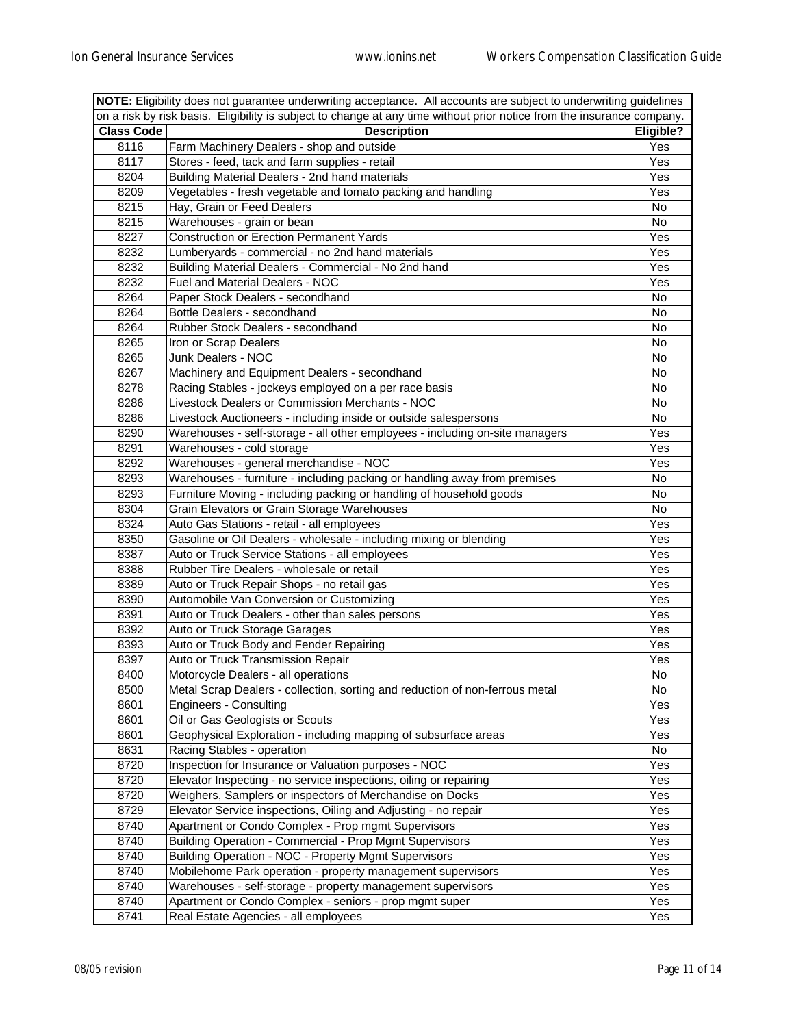| NOTE: Eligibility does not guarantee underwriting acceptance. All accounts are subject to underwriting guidelines      |                                                                              |           |  |
|------------------------------------------------------------------------------------------------------------------------|------------------------------------------------------------------------------|-----------|--|
| on a risk by risk basis. Eligibility is subject to change at any time without prior notice from the insurance company. |                                                                              |           |  |
| <b>Class Code</b>                                                                                                      | <b>Description</b>                                                           | Eligible? |  |
| 8116                                                                                                                   | Farm Machinery Dealers - shop and outside                                    | Yes       |  |
| 8117                                                                                                                   | Stores - feed, tack and farm supplies - retail                               | Yes       |  |
| 8204                                                                                                                   | Building Material Dealers - 2nd hand materials                               | Yes       |  |
| 8209                                                                                                                   | Vegetables - fresh vegetable and tomato packing and handling                 | Yes       |  |
| 8215                                                                                                                   | Hay, Grain or Feed Dealers                                                   | No        |  |
| 8215                                                                                                                   | Warehouses - grain or bean                                                   | No        |  |
| 8227                                                                                                                   | <b>Construction or Erection Permanent Yards</b>                              | Yes       |  |
| 8232                                                                                                                   | Lumberyards - commercial - no 2nd hand materials                             | Yes       |  |
| 8232                                                                                                                   | Building Material Dealers - Commercial - No 2nd hand                         | Yes       |  |
| 8232                                                                                                                   | Fuel and Material Dealers - NOC                                              | Yes       |  |
| 8264                                                                                                                   | Paper Stock Dealers - secondhand                                             | No        |  |
| 8264                                                                                                                   | Bottle Dealers - secondhand                                                  | No        |  |
| 8264                                                                                                                   | Rubber Stock Dealers - secondhand                                            | No        |  |
| 8265                                                                                                                   | Iron or Scrap Dealers                                                        | No        |  |
| 8265                                                                                                                   | Junk Dealers - NOC                                                           | No        |  |
| 8267                                                                                                                   | Machinery and Equipment Dealers - secondhand                                 | No        |  |
| 8278                                                                                                                   | Racing Stables - jockeys employed on a per race basis                        | No        |  |
| 8286                                                                                                                   | Livestock Dealers or Commission Merchants - NOC                              | No        |  |
| 8286                                                                                                                   | Livestock Auctioneers - including inside or outside salespersons             | No        |  |
| 8290                                                                                                                   | Warehouses - self-storage - all other employees - including on-site managers | Yes       |  |
| 8291                                                                                                                   | Warehouses - cold storage                                                    | Yes       |  |
| 8292                                                                                                                   | Warehouses - general merchandise - NOC                                       | Yes       |  |
| 8293                                                                                                                   | Warehouses - furniture - including packing or handling away from premises    | No        |  |
| 8293                                                                                                                   | Furniture Moving - including packing or handling of household goods          | No        |  |
| 8304                                                                                                                   | Grain Elevators or Grain Storage Warehouses                                  | No        |  |
| 8324                                                                                                                   | Auto Gas Stations - retail - all employees                                   | Yes       |  |
| 8350                                                                                                                   | Gasoline or Oil Dealers - wholesale - including mixing or blending           | Yes       |  |
| 8387                                                                                                                   | Auto or Truck Service Stations - all employees                               | Yes       |  |
| 8388                                                                                                                   | Rubber Tire Dealers - wholesale or retail                                    | Yes       |  |
| 8389                                                                                                                   | Auto or Truck Repair Shops - no retail gas                                   | Yes       |  |
| 8390                                                                                                                   | Automobile Van Conversion or Customizing                                     | Yes       |  |
| 8391                                                                                                                   | Auto or Truck Dealers - other than sales persons                             | Yes       |  |
| 8392                                                                                                                   | Auto or Truck Storage Garages                                                | Yes       |  |
| 8393                                                                                                                   | Auto or Truck Body and Fender Repairing                                      | Yes       |  |
| 8397                                                                                                                   | Auto or Truck Transmission Repair                                            | Yes       |  |
| 8400                                                                                                                   | Motorcycle Dealers - all operations                                          | No        |  |
| 8500                                                                                                                   | Metal Scrap Dealers - collection, sorting and reduction of non-ferrous metal | No        |  |
| 8601                                                                                                                   | <b>Engineers - Consulting</b>                                                | Yes       |  |
| 8601                                                                                                                   | Oil or Gas Geologists or Scouts                                              | Yes       |  |
| 8601                                                                                                                   | Geophysical Exploration - including mapping of subsurface areas              | Yes       |  |
| 8631                                                                                                                   | Racing Stables - operation                                                   | No        |  |
| 8720                                                                                                                   | Inspection for Insurance or Valuation purposes - NOC                         | Yes       |  |
| 8720                                                                                                                   | Elevator Inspecting - no service inspections, oiling or repairing            | Yes       |  |
| 8720                                                                                                                   | Weighers, Samplers or inspectors of Merchandise on Docks                     | Yes       |  |
| 8729                                                                                                                   | Elevator Service inspections, Oiling and Adjusting - no repair               | Yes       |  |
| 8740                                                                                                                   | Apartment or Condo Complex - Prop mgmt Supervisors                           | Yes       |  |
| 8740                                                                                                                   | <b>Building Operation - Commercial - Prop Mgmt Supervisors</b>               | Yes       |  |
| 8740                                                                                                                   | <b>Building Operation - NOC - Property Mgmt Supervisors</b>                  | Yes       |  |
| 8740                                                                                                                   | Mobilehome Park operation - property management supervisors                  | Yes       |  |
| 8740                                                                                                                   | Warehouses - self-storage - property management supervisors                  | Yes       |  |
| 8740                                                                                                                   | Apartment or Condo Complex - seniors - prop mgmt super                       | Yes       |  |
| 8741                                                                                                                   | Real Estate Agencies - all employees                                         | Yes       |  |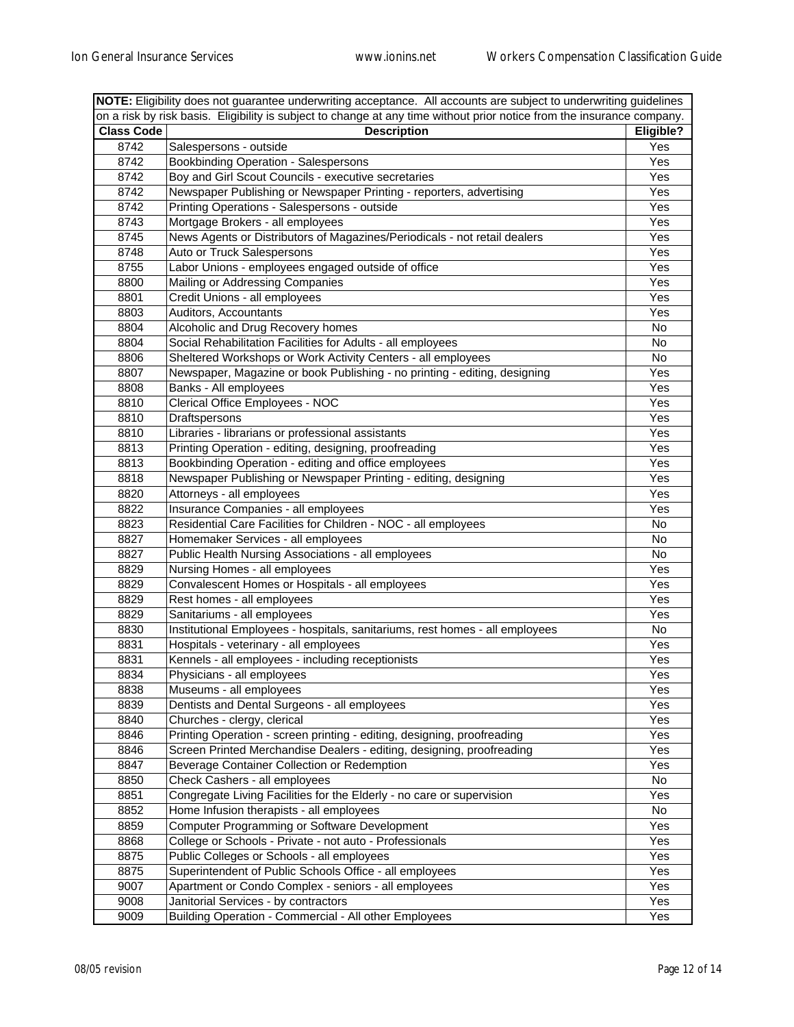| NOTE: Eligibility does not guarantee underwriting acceptance. All accounts are subject to underwriting guidelines |                                                                                                                        |           |
|-------------------------------------------------------------------------------------------------------------------|------------------------------------------------------------------------------------------------------------------------|-----------|
|                                                                                                                   | on a risk by risk basis. Eligibility is subject to change at any time without prior notice from the insurance company. |           |
| <b>Class Code</b>                                                                                                 | <b>Description</b>                                                                                                     | Eligible? |
| 8742                                                                                                              | Salespersons - outside                                                                                                 | Yes       |
| 8742                                                                                                              | Bookbinding Operation - Salespersons                                                                                   | Yes       |
| 8742                                                                                                              | Boy and Girl Scout Councils - executive secretaries                                                                    | Yes       |
| 8742                                                                                                              | Newspaper Publishing or Newspaper Printing - reporters, advertising                                                    | Yes       |
| 8742                                                                                                              | Printing Operations - Salespersons - outside                                                                           | Yes       |
| 8743                                                                                                              | Mortgage Brokers - all employees                                                                                       | Yes       |
| 8745                                                                                                              | News Agents or Distributors of Magazines/Periodicals - not retail dealers                                              | Yes       |
| 8748                                                                                                              | Auto or Truck Salespersons                                                                                             | Yes       |
| 8755                                                                                                              | Labor Unions - employees engaged outside of office                                                                     | Yes       |
| 8800                                                                                                              | Mailing or Addressing Companies                                                                                        | Yes       |
| 8801                                                                                                              | Credit Unions - all employees                                                                                          | Yes       |
| 8803                                                                                                              | Auditors, Accountants                                                                                                  | Yes       |
| 8804                                                                                                              | Alcoholic and Drug Recovery homes                                                                                      | No        |
| 8804                                                                                                              | Social Rehabilitation Facilities for Adults - all employees                                                            | No        |
| 8806                                                                                                              | Sheltered Workshops or Work Activity Centers - all employees                                                           | No        |
| 8807                                                                                                              | Newspaper, Magazine or book Publishing - no printing - editing, designing                                              | Yes       |
| 8808                                                                                                              | Banks - All employees                                                                                                  | Yes       |
| 8810                                                                                                              | Clerical Office Employees - NOC                                                                                        | Yes       |
| 8810                                                                                                              | Draftspersons                                                                                                          | Yes       |
| 8810                                                                                                              | Libraries - librarians or professional assistants                                                                      | Yes       |
| 8813                                                                                                              | Printing Operation - editing, designing, proofreading                                                                  | Yes       |
| 8813                                                                                                              | Bookbinding Operation - editing and office employees                                                                   | Yes       |
| 8818                                                                                                              | Newspaper Publishing or Newspaper Printing - editing, designing                                                        | Yes       |
| 8820                                                                                                              | Attorneys - all employees                                                                                              | Yes       |
| 8822                                                                                                              | Insurance Companies - all employees                                                                                    | Yes       |
| 8823                                                                                                              | Residential Care Facilities for Children - NOC - all employees                                                         | No        |
| 8827                                                                                                              | Homemaker Services - all employees                                                                                     | No        |
| 8827                                                                                                              | Public Health Nursing Associations - all employees                                                                     | No        |
| 8829                                                                                                              | Nursing Homes - all employees                                                                                          | Yes       |
| 8829                                                                                                              | Convalescent Homes or Hospitals - all employees                                                                        | Yes       |
| 8829                                                                                                              | Rest homes - all employees                                                                                             | Yes       |
| 8829                                                                                                              | Sanitariums - all employees                                                                                            | Yes       |
| 8830                                                                                                              | Institutional Employees - hospitals, sanitariums, rest homes - all employees                                           | No        |
| 8831                                                                                                              | Hospitals - veterinary - all employees                                                                                 | Yes       |
| 8831                                                                                                              | Kennels - all employees - including receptionists                                                                      | Yes       |
| 8834                                                                                                              | Physicians - all employees                                                                                             | Yes       |
| 8838                                                                                                              | Museums - all employees                                                                                                | Yes       |
| 8839                                                                                                              | Dentists and Dental Surgeons - all employees                                                                           | Yes       |
| 8840                                                                                                              | Churches - clergy, clerical                                                                                            | Yes       |
| 8846                                                                                                              | Printing Operation - screen printing - editing, designing, proofreading                                                | Yes       |
| 8846                                                                                                              | Screen Printed Merchandise Dealers - editing, designing, proofreading                                                  | Yes       |
| 8847                                                                                                              | Beverage Container Collection or Redemption                                                                            | Yes       |
| 8850                                                                                                              | Check Cashers - all employees                                                                                          | No        |
| 8851                                                                                                              | Congregate Living Facilities for the Elderly - no care or supervision                                                  | Yes       |
| 8852                                                                                                              | Home Infusion therapists - all employees                                                                               | No        |
| 8859                                                                                                              | Computer Programming or Software Development                                                                           | Yes       |
| 8868                                                                                                              | College or Schools - Private - not auto - Professionals                                                                | Yes       |
| 8875                                                                                                              | Public Colleges or Schools - all employees                                                                             | Yes       |
| 8875                                                                                                              | Superintendent of Public Schools Office - all employees                                                                | Yes       |
| 9007                                                                                                              | Apartment or Condo Complex - seniors - all employees                                                                   | Yes       |
| 9008                                                                                                              | Janitorial Services - by contractors                                                                                   | Yes       |
| 9009                                                                                                              | Building Operation - Commercial - All other Employees                                                                  | Yes       |
|                                                                                                                   |                                                                                                                        |           |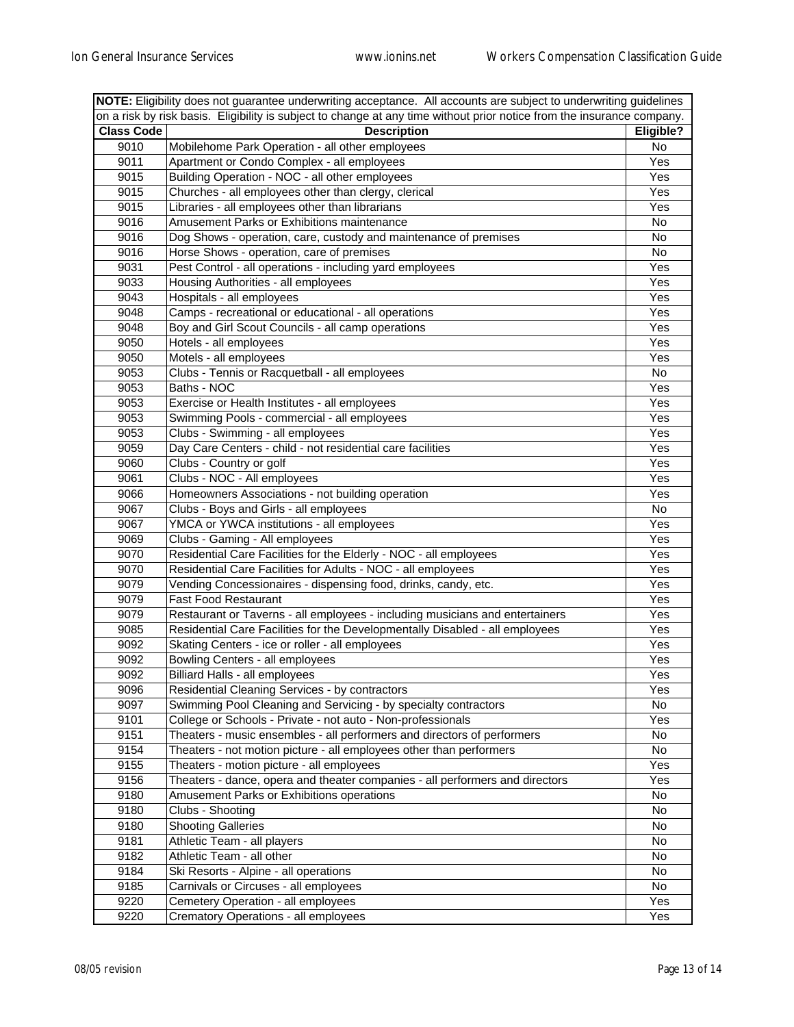|                                                                                                                        | NOTE: Eligibility does not guarantee underwriting acceptance. All accounts are subject to underwriting guidelines |           |  |
|------------------------------------------------------------------------------------------------------------------------|-------------------------------------------------------------------------------------------------------------------|-----------|--|
| on a risk by risk basis. Eligibility is subject to change at any time without prior notice from the insurance company. |                                                                                                                   |           |  |
| <b>Class Code</b>                                                                                                      | <b>Description</b>                                                                                                | Eligible? |  |
| 9010                                                                                                                   | Mobilehome Park Operation - all other employees                                                                   | No        |  |
| 9011                                                                                                                   | Apartment or Condo Complex - all employees                                                                        | Yes       |  |
| 9015                                                                                                                   | Building Operation - NOC - all other employees                                                                    | Yes       |  |
| 9015                                                                                                                   | Churches - all employees other than clergy, clerical                                                              | Yes       |  |
| 9015                                                                                                                   | Libraries - all employees other than librarians                                                                   | Yes       |  |
| 9016                                                                                                                   | Amusement Parks or Exhibitions maintenance                                                                        | No        |  |
| 9016                                                                                                                   | Dog Shows - operation, care, custody and maintenance of premises                                                  | No        |  |
| 9016                                                                                                                   | Horse Shows - operation, care of premises                                                                         | No        |  |
| 9031                                                                                                                   | Pest Control - all operations - including yard employees                                                          | Yes       |  |
| 9033                                                                                                                   | Housing Authorities - all employees                                                                               | Yes       |  |
| 9043                                                                                                                   | Hospitals - all employees                                                                                         | Yes       |  |
| 9048                                                                                                                   | Camps - recreational or educational - all operations                                                              | Yes       |  |
| 9048                                                                                                                   | Boy and Girl Scout Councils - all camp operations                                                                 | Yes       |  |
| 9050                                                                                                                   | Hotels - all employees                                                                                            | Yes       |  |
| 9050                                                                                                                   | Motels - all employees                                                                                            | Yes       |  |
| 9053                                                                                                                   | Clubs - Tennis or Racquetball - all employees                                                                     | No        |  |
| 9053                                                                                                                   | Baths - NOC                                                                                                       | Yes       |  |
| 9053                                                                                                                   | Exercise or Health Institutes - all employees                                                                     | Yes       |  |
| 9053                                                                                                                   | Swimming Pools - commercial - all employees                                                                       | Yes       |  |
| 9053                                                                                                                   | Clubs - Swimming - all employees                                                                                  | Yes       |  |
| 9059                                                                                                                   | Day Care Centers - child - not residential care facilities                                                        | Yes       |  |
| 9060                                                                                                                   | Clubs - Country or golf                                                                                           | Yes       |  |
| 9061                                                                                                                   | Clubs - NOC - All employees                                                                                       | Yes       |  |
| 9066                                                                                                                   | Homeowners Associations - not building operation                                                                  | Yes       |  |
| 9067                                                                                                                   | Clubs - Boys and Girls - all employees                                                                            | No        |  |
| 9067                                                                                                                   | YMCA or YWCA institutions - all employees                                                                         | Yes       |  |
| 9069                                                                                                                   | Clubs - Gaming - All employees                                                                                    | Yes       |  |
| 9070                                                                                                                   | Residential Care Facilities for the Elderly - NOC - all employees                                                 | Yes       |  |
| 9070                                                                                                                   | Residential Care Facilities for Adults - NOC - all employees                                                      | Yes       |  |
| 9079                                                                                                                   | Vending Concessionaires - dispensing food, drinks, candy, etc.                                                    | Yes       |  |
| 9079                                                                                                                   | <b>Fast Food Restaurant</b>                                                                                       | Yes       |  |
| 9079                                                                                                                   | Restaurant or Taverns - all employees - including musicians and entertainers                                      | Yes       |  |
| 9085                                                                                                                   | Residential Care Facilities for the Developmentally Disabled - all employees                                      | Yes       |  |
| 9092                                                                                                                   | Skating Centers - ice or roller - all employees                                                                   | Yes       |  |
| 9092                                                                                                                   | Bowling Centers - all employees                                                                                   | Yes       |  |
| 9092                                                                                                                   | Billiard Halls - all employees                                                                                    | Yes       |  |
| 9096                                                                                                                   | Residential Cleaning Services - by contractors                                                                    | Yes       |  |
| 9097                                                                                                                   | Swimming Pool Cleaning and Servicing - by specialty contractors                                                   | No        |  |
| 9101                                                                                                                   | College or Schools - Private - not auto - Non-professionals                                                       | Yes       |  |
| 9151                                                                                                                   | Theaters - music ensembles - all performers and directors of performers                                           | No        |  |
| 9154                                                                                                                   |                                                                                                                   | No        |  |
| 9155                                                                                                                   | Theaters - not motion picture - all employees other than performers                                               | Yes       |  |
|                                                                                                                        | Theaters - motion picture - all employees                                                                         |           |  |
| 9156                                                                                                                   | Theaters - dance, opera and theater companies - all performers and directors                                      | Yes       |  |
| 9180                                                                                                                   | Amusement Parks or Exhibitions operations                                                                         | No        |  |
| 9180                                                                                                                   | Clubs - Shooting                                                                                                  | No        |  |
| 9180                                                                                                                   | <b>Shooting Galleries</b>                                                                                         | No        |  |
| 9181                                                                                                                   | Athletic Team - all players                                                                                       | No        |  |
| 9182                                                                                                                   | Athletic Team - all other                                                                                         | No        |  |
| 9184                                                                                                                   | Ski Resorts - Alpine - all operations                                                                             | No        |  |
| 9185                                                                                                                   | Carnivals or Circuses - all employees                                                                             | No        |  |
| 9220                                                                                                                   | Cemetery Operation - all employees                                                                                | Yes       |  |
| 9220                                                                                                                   | Crematory Operations - all employees                                                                              | Yes       |  |